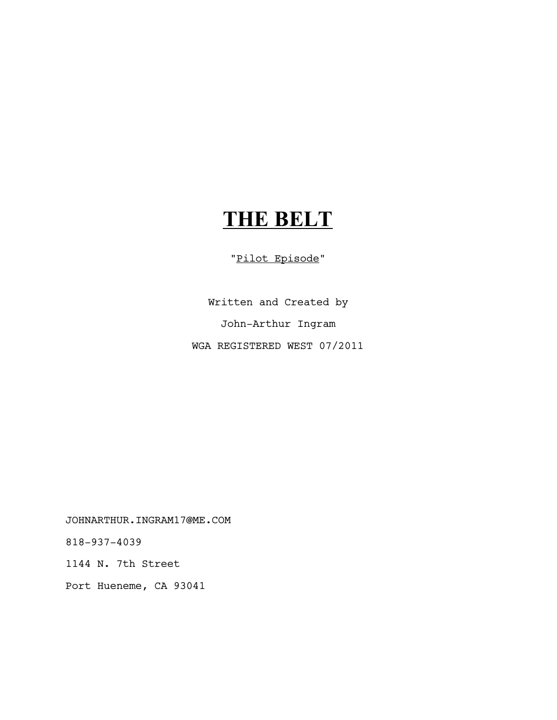# **THE BELT**

"Pilot Episode"

Written and Created by John-Arthur Ingram WGA REGISTERED WEST 07/2011

JOHNARTHUR.INGRAM17@ME.COM

818-937-4039

1144 N. 7th Street

Port Hueneme, CA 93041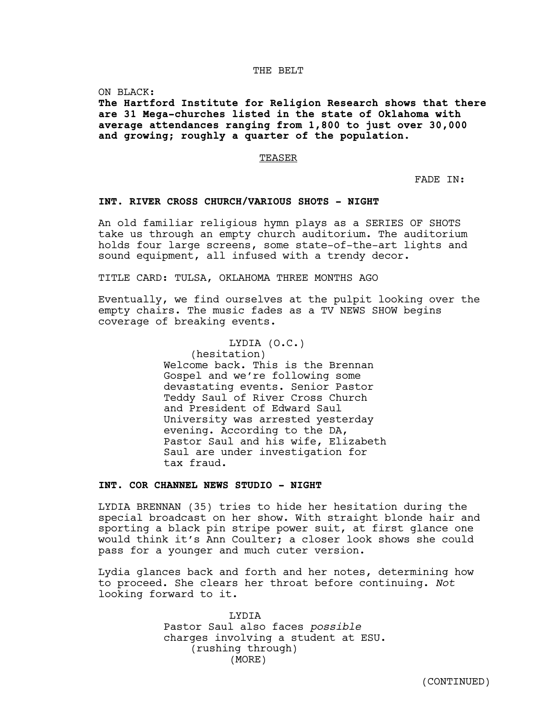## THE BELT

ON BLACK:

**The Hartford Institute for Religion Research shows that there are 31 Mega-churches listed in the state of Oklahoma with average attendances ranging from 1,800 to just over 30,000 and growing; roughly a quarter of the population.**

#### TEASER

FADE IN:

#### **INT. RIVER CROSS CHURCH/VARIOUS SHOTS - NIGHT**

An old familiar religious hymn plays as a SERIES OF SHOTS take us through an empty church auditorium. The auditorium holds four large screens, some state-of-the-art lights and sound equipment, all infused with a trendy decor.

TITLE CARD: TULSA, OKLAHOMA THREE MONTHS AGO

Eventually, we find ourselves at the pulpit looking over the empty chairs. The music fades as a TV NEWS SHOW begins coverage of breaking events.

## LYDIA (O.C.)

(hesitation) Welcome back. This is the Brennan Gospel and we're following some devastating events. Senior Pastor Teddy Saul of River Cross Church and President of Edward Saul University was arrested yesterday evening. According to the DA, Pastor Saul and his wife, Elizabeth Saul are under investigation for tax fraud.

## **INT. COR CHANNEL NEWS STUDIO - NIGHT**

LYDIA BRENNAN (35) tries to hide her hesitation during the special broadcast on her show. With straight blonde hair and sporting a black pin stripe power suit, at first glance one would think it's Ann Coulter; a closer look shows she could pass for a younger and much cuter version.

Lydia glances back and forth and her notes, determining how to proceed. She clears her throat before continuing. *Not* looking forward to it.

> LYDIA Pastor Saul also faces *possible* charges involving a student at ESU. (rushing through) (MORE)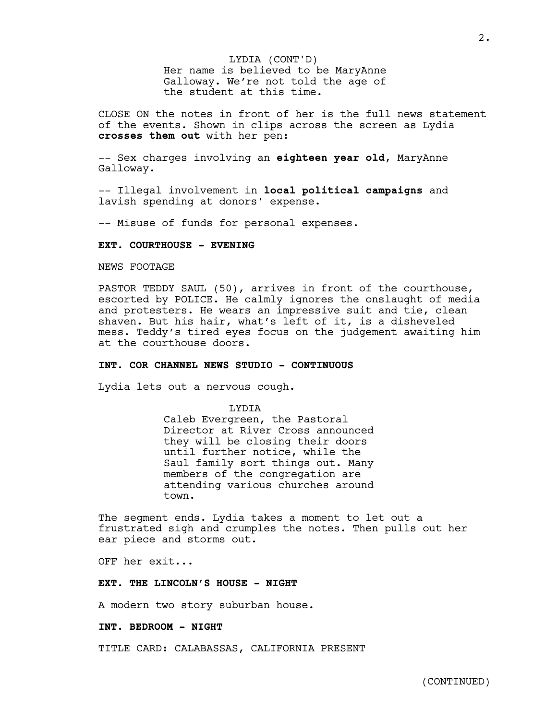Her name is believed to be MaryAnne Galloway. We're not told the age of the student at this time. LYDIA (CONT'D)

CLOSE ON the notes in front of her is the full news statement of the events. Shown in clips across the screen as Lydia **crosses them out** with her pen:

-- Sex charges involving an **eighteen year old**, MaryAnne Galloway.

-- Illegal involvement in **local political campaigns** and lavish spending at donors' expense.

-- Misuse of funds for personal expenses.

## **EXT. COURTHOUSE - EVENING**

NEWS FOOTAGE

PASTOR TEDDY SAUL (50), arrives in front of the courthouse, escorted by POLICE. He calmly ignores the onslaught of media and protesters. He wears an impressive suit and tie, clean shaven. But his hair, what's left of it, is a disheveled mess. Teddy's tired eyes focus on the judgement awaiting him at the courthouse doors.

## **INT. COR CHANNEL NEWS STUDIO - CONTINUOUS**

Lydia lets out a nervous cough.

LYDIA

Caleb Evergreen, the Pastoral Director at River Cross announced they will be closing their doors until further notice, while the Saul family sort things out. Many members of the congregation are attending various churches around town.

The segment ends. Lydia takes a moment to let out a frustrated sigh and crumples the notes. Then pulls out her ear piece and storms out.

OFF her exit...

#### **EXT. THE LINCOLN'S HOUSE - NIGHT**

A modern two story suburban house.

**INT. BEDROOM - NIGHT**

TITLE CARD: CALABASSAS, CALIFORNIA PRESENT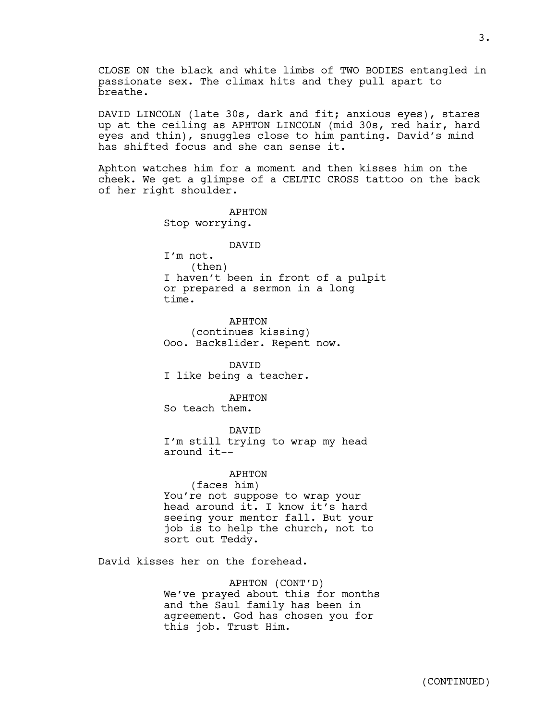CLOSE ON the black and white limbs of TWO BODIES entangled in passionate sex. The climax hits and they pull apart to breathe.

DAVID LINCOLN (late 30s, dark and fit; anxious eyes), stares up at the ceiling as APHTON LINCOLN (mid 30s, red hair, hard eyes and thin), snuggles close to him panting. David's mind has shifted focus and she can sense it.

Aphton watches him for a moment and then kisses him on the cheek. We get a glimpse of a CELTIC CROSS tattoo on the back of her right shoulder.

> APHTON Stop worrying.

## DAVID

I'm not. (then) I haven't been in front of a pulpit or prepared a sermon in a long time.

APHTON (continues kissing) Ooo. Backslider. Repent now.

DAVID I like being a teacher.

APHTON

So teach them.

DAVID

I'm still trying to wrap my head around it--

APHTON

(faces him) You're not suppose to wrap your head around it. I know it's hard seeing your mentor fall. But your job is to help the church, not to sort out Teddy.

David kisses her on the forehead.

APHTON (CONT'D) We've prayed about this for months and the Saul family has been in agreement. God has chosen you for this job. Trust Him.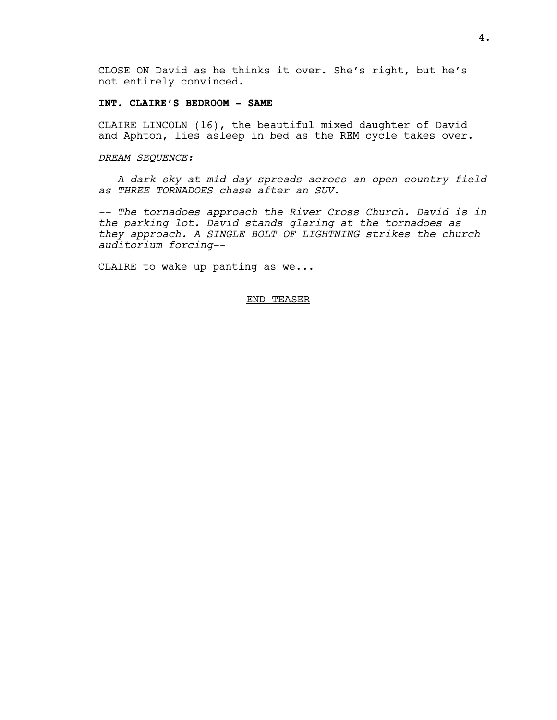CLOSE ON David as he thinks it over. She's right, but he's not entirely convinced.

## **INT. CLAIRE'S BEDROOM - SAME**

CLAIRE LINCOLN (16), the beautiful mixed daughter of David and Aphton, lies asleep in bed as the REM cycle takes over.

#### *DREAM SEQUENCE:*

*-- A dark sky at mid-day spreads across an open country field as THREE TORNADOES chase after an SUV.*

*-- The tornadoes approach the River Cross Church. David is in the parking lot. David stands glaring at the tornadoes as they approach. A SINGLE BOLT OF LIGHTNING strikes the church auditorium forcing--*

CLAIRE to wake up panting as we...

## END TEASER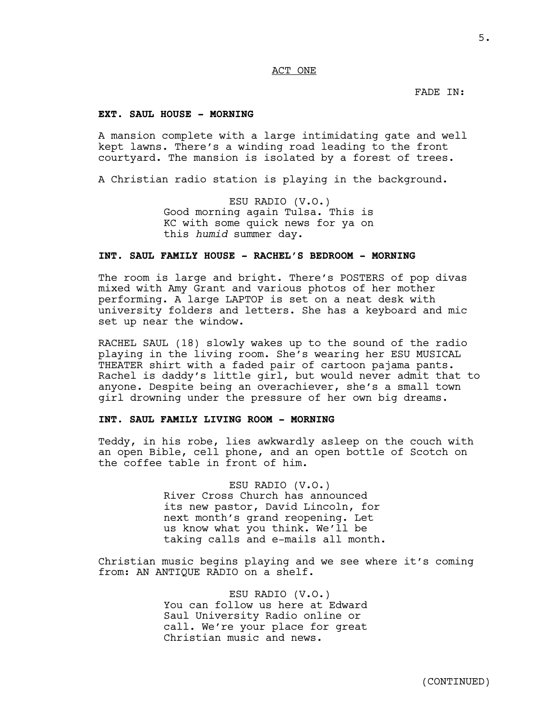## ACT ONE

FADE IN:

## **EXT. SAUL HOUSE - MORNING**

A mansion complete with a large intimidating gate and well kept lawns. There's a winding road leading to the front courtyard. The mansion is isolated by a forest of trees.

A Christian radio station is playing in the background.

ESU RADIO (V.O.) Good morning again Tulsa. This is KC with some quick news for ya on this *humid* summer day.

## **INT. SAUL FAMILY HOUSE - RACHEL'S BEDROOM - MORNING**

The room is large and bright. There's POSTERS of pop divas mixed with Amy Grant and various photos of her mother performing. A large LAPTOP is set on a neat desk with university folders and letters. She has a keyboard and mic set up near the window.

RACHEL SAUL (18) slowly wakes up to the sound of the radio playing in the living room. She's wearing her ESU MUSICAL THEATER shirt with a faded pair of cartoon pajama pants. Rachel is daddy's little girl, but would never admit that to anyone. Despite being an overachiever, she's a small town girl drowning under the pressure of her own big dreams.

## **INT. SAUL FAMILY LIVING ROOM - MORNING**

Teddy, in his robe, lies awkwardly asleep on the couch with an open Bible, cell phone, and an open bottle of Scotch on the coffee table in front of him.

> ESU RADIO (V.O.) River Cross Church has announced its new pastor, David Lincoln, for next month's grand reopening. Let us know what you think. We'll be taking calls and e-mails all month.

Christian music begins playing and we see where it's coming from: AN ANTIQUE RADIO on a shelf.

> ESU RADIO (V.O.) You can follow us here at Edward Saul University Radio online or call. We're your place for great Christian music and news.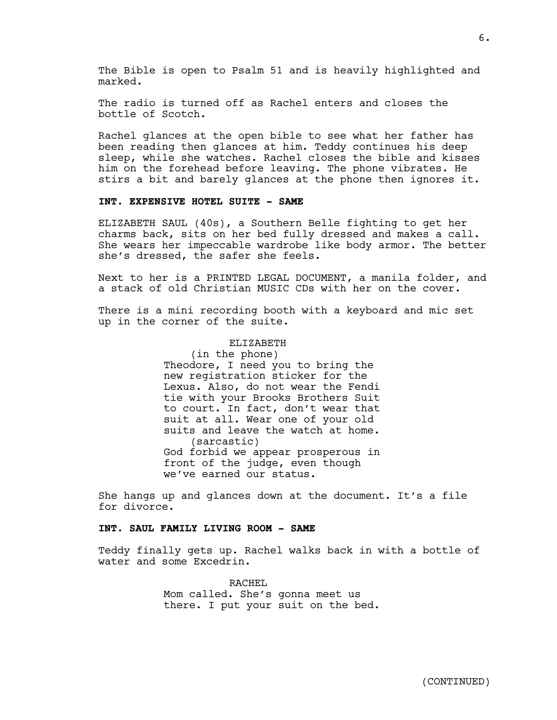The Bible is open to Psalm 51 and is heavily highlighted and marked.

The radio is turned off as Rachel enters and closes the bottle of Scotch.

Rachel glances at the open bible to see what her father has been reading then glances at him. Teddy continues his deep sleep, while she watches. Rachel closes the bible and kisses him on the forehead before leaving. The phone vibrates. He stirs a bit and barely glances at the phone then ignores it.

## **INT. EXPENSIVE HOTEL SUITE - SAME**

ELIZABETH SAUL (40s), a Southern Belle fighting to get her charms back, sits on her bed fully dressed and makes a call. She wears her impeccable wardrobe like body armor. The better she's dressed, the safer she feels.

Next to her is a PRINTED LEGAL DOCUMENT, a manila folder, and a stack of old Christian MUSIC CDs with her on the cover.

There is a mini recording booth with a keyboard and mic set up in the corner of the suite.

#### ELIZABETH

(in the phone) Theodore, I need you to bring the new registration sticker for the Lexus. Also, do not wear the Fendi tie with your Brooks Brothers Suit to court. In fact, don't wear that suit at all. Wear one of your old suits and leave the watch at home. (sarcastic) God forbid we appear prosperous in front of the judge, even though we've earned our status.

She hangs up and glances down at the document. It's a file for divorce.

#### **INT. SAUL FAMILY LIVING ROOM - SAME**

Teddy finally gets up. Rachel walks back in with a bottle of water and some Excedrin.

> RACHEL Mom called. She's gonna meet us there. I put your suit on the bed.

 $6.$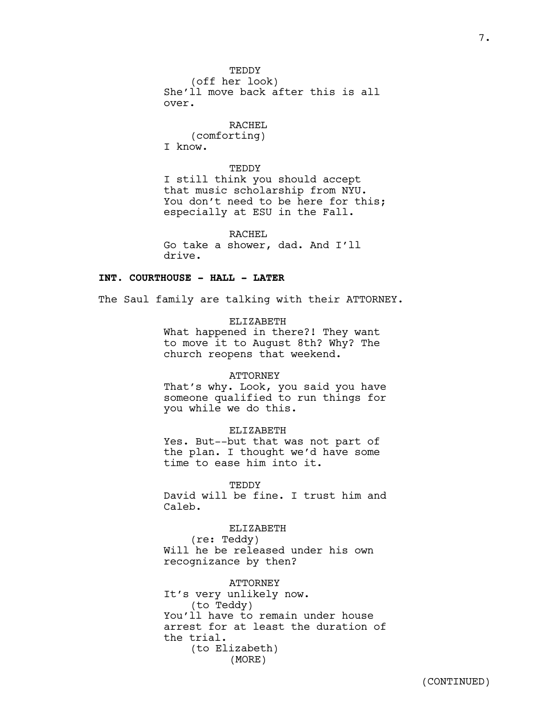**TEDDY** (off her look) She'll move back after this is all over.

RACHEL (comforting)

I know.

**TEDDY** I still think you should accept that music scholarship from NYU. You don't need to be here for this; especially at ESU in the Fall.

RACHEL Go take a shower, dad. And I'll drive.

## **INT. COURTHOUSE - HALL - LATER**

The Saul family are talking with their ATTORNEY.

ELIZABETH What happened in there?! They want to move it to August 8th? Why? The church reopens that weekend.

## ATTORNEY

That's why. Look, you said you have someone qualified to run things for you while we do this.

## ELIZABETH

Yes. But--but that was not part of the plan. I thought we'd have some time to ease him into it.

**TEDDY** David will be fine. I trust him and Caleb.

ELIZABETH

(re: Teddy) Will he be released under his own recognizance by then?

ATTORNEY It's very unlikely now. (to Teddy) You'll have to remain under house arrest for at least the duration of the trial. (to Elizabeth) (MORE)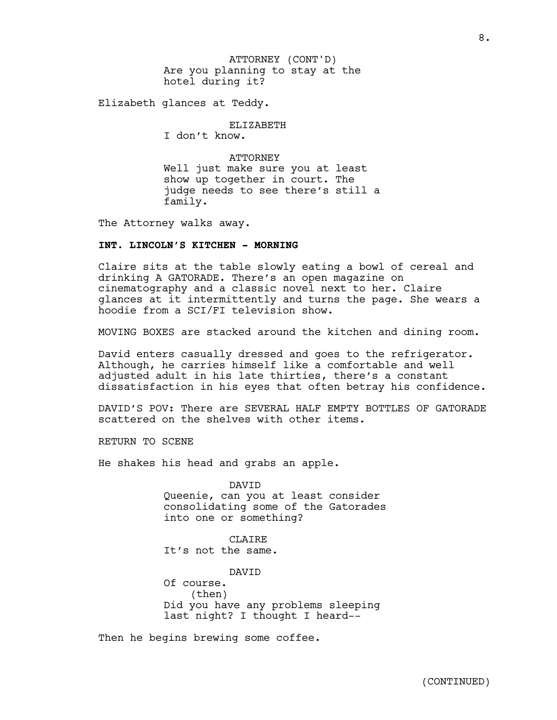Are you planning to stay at the hotel during it? ATTORNEY (CONT'D)

Elizabeth glances at Teddy.

ELIZABETH

I don't know.

**ATTORNEY** Well just make sure you at least show up together in court. The judge needs to see there's still a family.

The Attorney walks away.

## **INT. LINCOLN'S KITCHEN - MORNING**

Claire sits at the table slowly eating a bowl of cereal and drinking A GATORADE. There's an open magazine on cinematography and a classic novel next to her. Claire glances at it intermittently and turns the page. She wears a hoodie from a SCI/FI television show.

MOVING BOXES are stacked around the kitchen and dining room.

David enters casually dressed and goes to the refrigerator. Although, he carries himself like a comfortable and well adjusted adult in his late thirties, there's a constant dissatisfaction in his eyes that often betray his confidence.

DAVID'S POV: There are SEVERAL HALF EMPTY BOTTLES OF GATORADE scattered on the shelves with other items.

RETURN TO SCENE

He shakes his head and grabs an apple.

DAVID Queenie, can you at least consider consolidating some of the Gatorades into one or something?

CLAIRE It's not the same.

DAVID

Of course. (then) Did you have any problems sleeping last night? I thought I heard--

Then he begins brewing some coffee.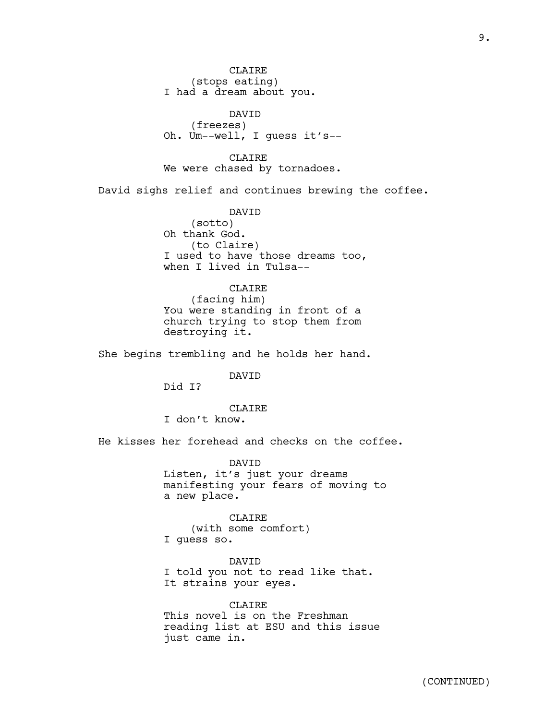**CLAIRE** (stops eating) I had a dream about you.

DAVID (freezes) Oh. Um--well, I guess it's--

9.

CLAIRE We were chased by tornadoes.

David sighs relief and continues brewing the coffee.

DAVID (sotto) Oh thank God. (to Claire) I used to have those dreams too, when I lived in Tulsa--

## CLAIRE

(facing him) You were standing in front of a church trying to stop them from destroying it.

She begins trembling and he holds her hand.

DAVID

Did I?

## CLAIRE

I don't know.

He kisses her forehead and checks on the coffee.

DAVID Listen, it's just your dreams manifesting your fears of moving to a new place.

#### CLAIRE

(with some comfort) I guess so.

DAVID I told you not to read like that. It strains your eyes.

CLAIRE This novel is on the Freshman reading list at ESU and this issue just came in.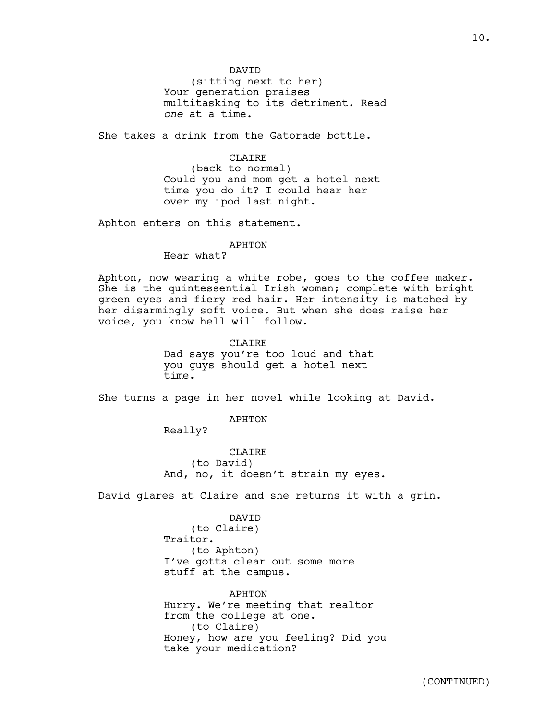DAVID

(sitting next to her) Your generation praises multitasking to its detriment. Read *one* at a time.

She takes a drink from the Gatorade bottle.

CLAIRE

(back to normal) Could you and mom get a hotel next time you do it? I could hear her over my ipod last night.

Aphton enters on this statement.

#### APHTON

Hear what?

Aphton, now wearing a white robe, goes to the coffee maker. She is the quintessential Irish woman; complete with bright green eyes and fiery red hair. Her intensity is matched by her disarmingly soft voice. But when she does raise her voice, you know hell will follow.

> CLAIRE Dad says you're too loud and that you guys should get a hotel next time.

She turns a page in her novel while looking at David.

APHTON

Really?

**CLAIRE** (to David) And, no, it doesn't strain my eyes.

David glares at Claire and she returns it with a grin.

DAVID (to Claire) Traitor. (to Aphton) I've gotta clear out some more stuff at the campus.

APHTON Hurry. We're meeting that realtor from the college at one. (to Claire) Honey, how are you feeling? Did you take your medication?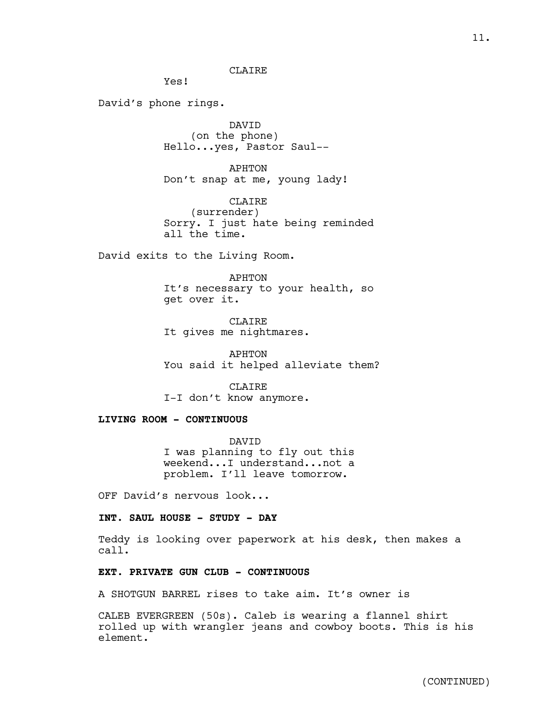**CLAIRE** 

Yes!

David's phone rings.

DAVID (on the phone) Hello...yes, Pastor Saul--

APHTON Don't snap at me, young lady!

CLAIRE (surrender) Sorry. I just hate being reminded all the time.

David exits to the Living Room.

#### APHTON

It's necessary to your health, so get over it.

CLAIRE It gives me nightmares.

APHTON You said it helped alleviate them?

CLAIRE I-I don't know anymore.

## **LIVING ROOM - CONTINUOUS**

DAVID I was planning to fly out this weekend...I understand...not a problem. I'll leave tomorrow.

OFF David's nervous look...

## **INT. SAUL HOUSE - STUDY - DAY**

Teddy is looking over paperwork at his desk, then makes a call.

## **EXT. PRIVATE GUN CLUB - CONTINUOUS**

A SHOTGUN BARREL rises to take aim. It's owner is

CALEB EVERGREEN (50s). Caleb is wearing a flannel shirt rolled up with wrangler jeans and cowboy boots. This is his element.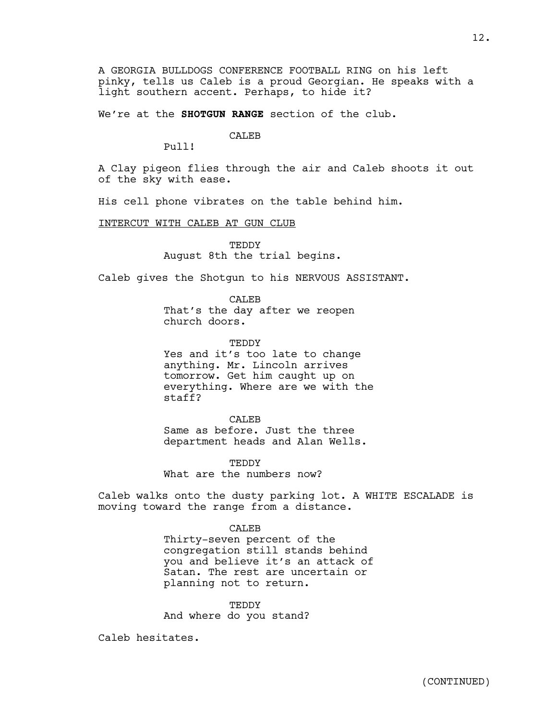A GEORGIA BULLDOGS CONFERENCE FOOTBALL RING on his left pinky, tells us Caleb is a proud Georgian. He speaks with a light southern accent. Perhaps, to hide it?

We're at the **SHOTGUN RANGE** section of the club.

CALEB

Pull!

A Clay pigeon flies through the air and Caleb shoots it out of the sky with ease.

His cell phone vibrates on the table behind him.

INTERCUT WITH CALEB AT GUN CLUB

**TEDDY** August 8th the trial begins.

Caleb gives the Shotgun to his NERVOUS ASSISTANT.

CALEB That's the day after we reopen church doors.

TEDDY Yes and it's too late to change anything. Mr. Lincoln arrives tomorrow. Get him caught up on everything. Where are we with the staff?

CALEB Same as before. Just the three department heads and Alan Wells.

TEDDY What are the numbers now?

Caleb walks onto the dusty parking lot. A WHITE ESCALADE is moving toward the range from a distance.

> CALEB Thirty-seven percent of the congregation still stands behind you and believe it's an attack of Satan. The rest are uncertain or planning not to return.

TEDDY And where do you stand?

Caleb hesitates.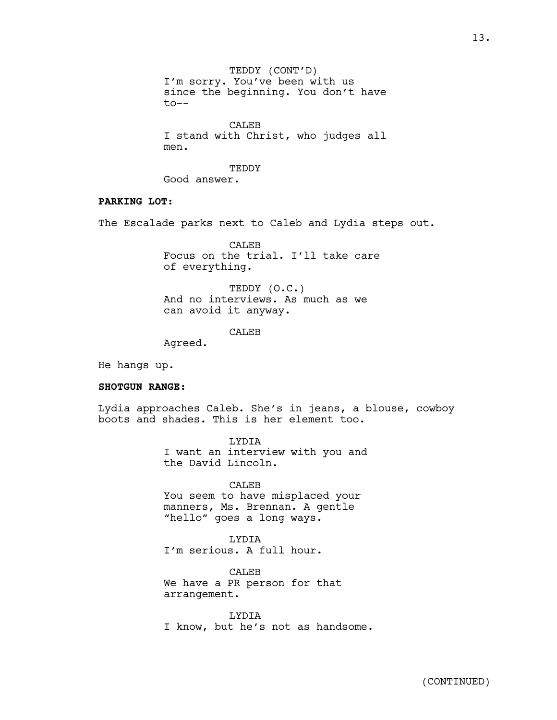TEDDY (CONT'D) I'm sorry. You've been with us since the beginning. You don't have to--

CALEB I stand with Christ, who judges all men.

**TEDDY** 

Good answer.

## **PARKING LOT:**

The Escalade parks next to Caleb and Lydia steps out.

CALEB Focus on the trial. I'll take care of everything.

TEDDY (O.C.) And no interviews. As much as we can avoid it anyway.

**CALEB** 

Agreed.

He hangs up.

## **SHOTGUN RANGE:**

Lydia approaches Caleb. She's in jeans, a blouse, cowboy boots and shades. This is her element too.

> LYDIA I want an interview with you and the David Lincoln.

CALEB You seem to have misplaced your manners, Ms. Brennan. A gentle "hello" goes a long ways.

LYDIA I'm serious. A full hour.

CALE<sub>B</sub> We have a PR person for that arrangement.

LYDIA I know, but he's not as handsome.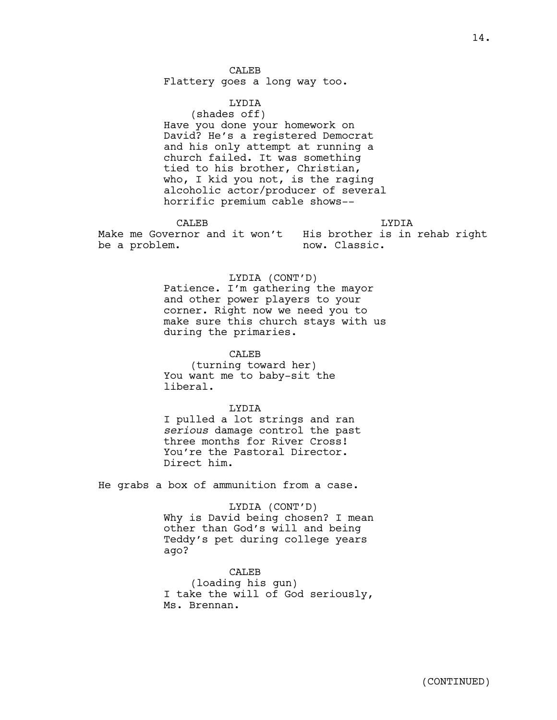**CALEB** Flattery goes a long way too.

LYDIA (shades off) Have you done your homework on David? He's a registered Democrat and his only attempt at running a church failed. It was something tied to his brother, Christian, who, I kid you not, is the raging alcoholic actor/producer of several horrific premium cable shows--

CALE<sub>B</sub> Make me Governor and it won't His brother is in rehab right be a problem. LYDIA now. Classic.

> LYDIA (CONT'D) Patience. I'm gathering the mayor and other power players to your corner. Right now we need you to make sure this church stays with us during the primaries.

CALEB (turning toward her) You want me to baby-sit the liberal.

LYDIA I pulled a lot strings and ran *serious* damage control the past three months for River Cross! You're the Pastoral Director. Direct him.

He grabs a box of ammunition from a case.

LYDIA (CONT'D) Why is David being chosen? I mean other than God's will and being Teddy's pet during college years ago?

CALEB (loading his gun) I take the will of God seriously, Ms. Brennan.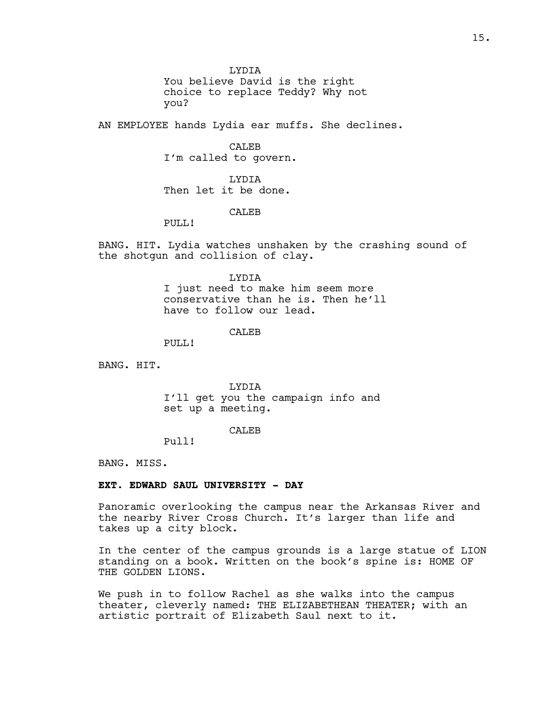LYDIA You believe David is the right choice to replace Teddy? Why not you?

AN EMPLOYEE hands Lydia ear muffs. She declines.

CALEB I'm called to govern.

LYDIA Then let it be done.

## CALE<sub>B</sub>

PULL!

BANG. HIT. Lydia watches unshaken by the crashing sound of the shotgun and collision of clay.

> LYDIA I just need to make him seem more conservative than he is. Then he'll have to follow our lead.

> > CALE<sub>B</sub>

PULL!

BANG. HIT.

LYDIA I'll get you the campaign info and set up a meeting.

#### CALEB

Pull!

BANG. MISS.

#### **EXT. EDWARD SAUL UNIVERSITY - DAY**

Panoramic overlooking the campus near the Arkansas River and the nearby River Cross Church. It's larger than life and takes up a city block.

In the center of the campus grounds is a large statue of LION standing on a book. Written on the book's spine is: HOME OF THE GOLDEN LIONS.

We push in to follow Rachel as she walks into the campus theater, cleverly named: THE ELIZABETHEAN THEATER; with an artistic portrait of Elizabeth Saul next to it.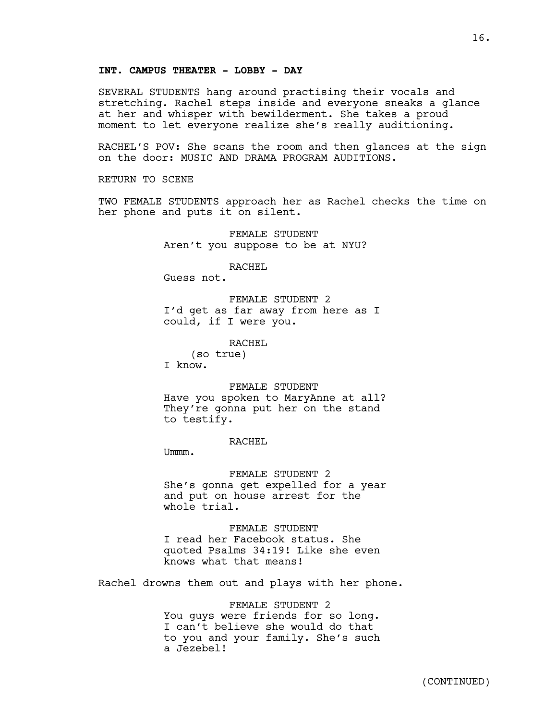## **INT. CAMPUS THEATER - LOBBY - DAY**

SEVERAL STUDENTS hang around practising their vocals and stretching. Rachel steps inside and everyone sneaks a glance at her and whisper with bewilderment. She takes a proud moment to let everyone realize she's really auditioning.

RACHEL'S POV: She scans the room and then glances at the sign on the door: MUSIC AND DRAMA PROGRAM AUDITIONS.

RETURN TO SCENE

TWO FEMALE STUDENTS approach her as Rachel checks the time on her phone and puts it on silent.

> FEMALE STUDENT Aren't you suppose to be at NYU?

> > RACHEL

Guess not.

FEMALE STUDENT 2 I'd get as far away from here as I could, if I were you.

RACHEL

(so true)

I know.

FEMALE STUDENT

Have you spoken to MaryAnne at all? They're gonna put her on the stand to testify.

RACHEL

Ummm.

FEMALE STUDENT 2 She's gonna get expelled for a year and put on house arrest for the whole trial.

FEMALE STUDENT I read her Facebook status. She quoted Psalms 34:19! Like she even knows what that means!

Rachel drowns them out and plays with her phone.

FEMALE STUDENT 2 You guys were friends for so long. I can't believe she would do that to you and your family. She's such a Jezebel!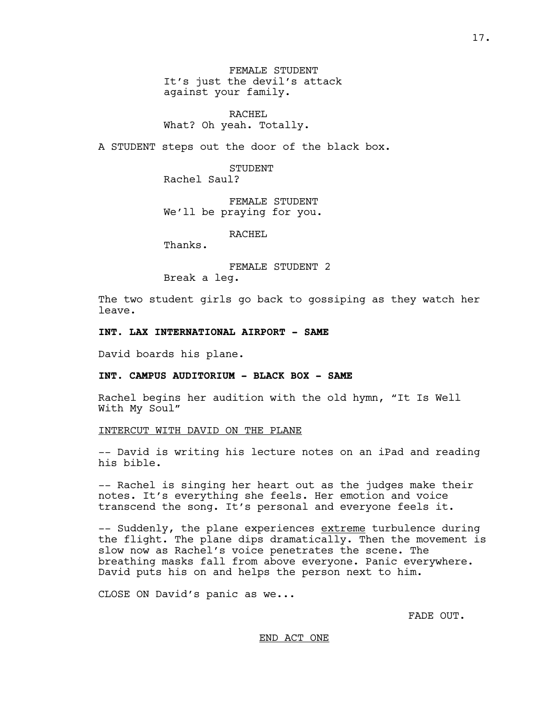FEMALE STUDENT It's just the devil's attack against your family.

RACHEL What? Oh yeah. Totally.

A STUDENT steps out the door of the black box.

STUDENT Rachel Saul?

FEMALE STUDENT We'll be praying for you.

RACHEL

Thanks.

FEMALE STUDENT 2 Break a leg.

The two student girls go back to gossiping as they watch her leave.

## **INT. LAX INTERNATIONAL AIRPORT - SAME**

David boards his plane.

## **INT. CAMPUS AUDITORIUM - BLACK BOX - SAME**

Rachel begins her audition with the old hymn, "It Is Well With My Soul"

## INTERCUT WITH DAVID ON THE PLANE

-- David is writing his lecture notes on an iPad and reading his bible.

-- Rachel is singing her heart out as the judges make their notes. It's everything she feels. Her emotion and voice transcend the song. It's personal and everyone feels it.

-- Suddenly, the plane experiences extreme turbulence during the flight. The plane dips dramatically. Then the movement is slow now as Rachel's voice penetrates the scene. The breathing masks fall from above everyone. Panic everywhere. David puts his on and helps the person next to him.

CLOSE ON David's panic as we...

FADE OUT.

#### END ACT ONE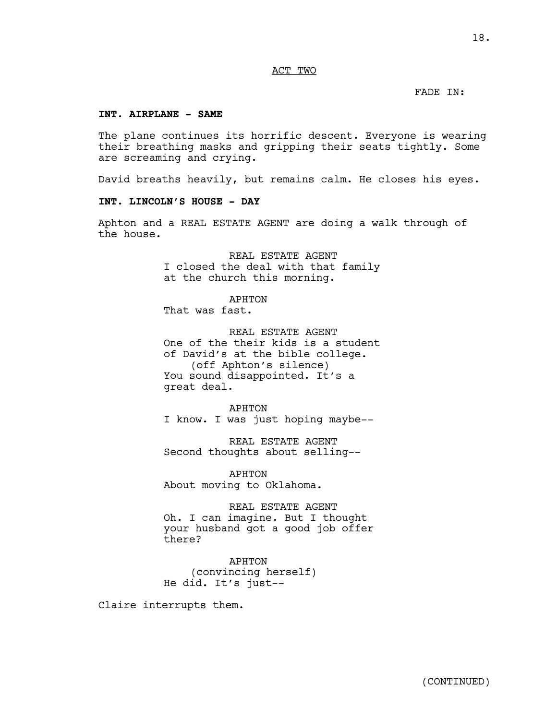## ACT TWO

## FADE IN:

## **INT. AIRPLANE - SAME**

The plane continues its horrific descent. Everyone is wearing their breathing masks and gripping their seats tightly. Some are screaming and crying.

David breaths heavily, but remains calm. He closes his eyes.

## **INT. LINCOLN'S HOUSE - DAY**

Aphton and a REAL ESTATE AGENT are doing a walk through of the house.

> REAL ESTATE AGENT I closed the deal with that family at the church this morning.

APHTON That was fast.

REAL ESTATE AGENT One of the their kids is a student of David's at the bible college. (off Aphton's silence) You sound disappointed. It's a great deal.

APHTON I know. I was just hoping maybe--

REAL ESTATE AGENT Second thoughts about selling--

APHTON About moving to Oklahoma.

REAL ESTATE AGENT Oh. I can imagine. But I thought your husband got a good job offer there?

APHTON (convincing herself) He did. It's just--

Claire interrupts them.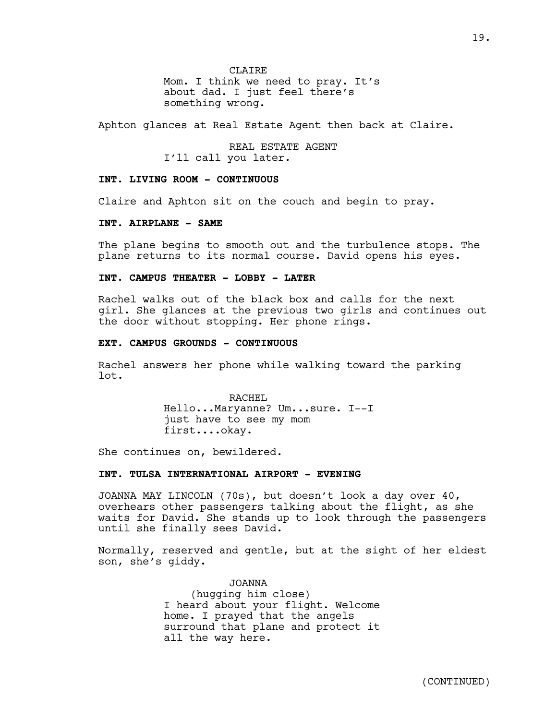**CLAIRE** 

Mom. I think we need to pray. It's about dad. I just feel there's something wrong.

Aphton glances at Real Estate Agent then back at Claire.

REAL ESTATE AGENT I'll call you later.

## **INT. LIVING ROOM - CONTINUOUS**

Claire and Aphton sit on the couch and begin to pray.

## **INT. AIRPLANE - SAME**

The plane begins to smooth out and the turbulence stops. The plane returns to its normal course. David opens his eyes.

## **INT. CAMPUS THEATER - LOBBY - LATER**

Rachel walks out of the black box and calls for the next girl. She glances at the previous two girls and continues out the door without stopping. Her phone rings.

#### **EXT. CAMPUS GROUNDS - CONTINUOUS**

Rachel answers her phone while walking toward the parking lot.

> RACHEL Hello...Maryanne? Um...sure. I--I just have to see my mom first....okay.

She continues on, bewildered.

## **INT. TULSA INTERNATIONAL AIRPORT - EVENING**

JOANNA MAY LINCOLN (70s), but doesn't look a day over 40, overhears other passengers talking about the flight, as she waits for David. She stands up to look through the passengers until she finally sees David.

Normally, reserved and gentle, but at the sight of her eldest son, she's giddy.

> JOANNA (hugging him close) I heard about your flight. Welcome home. I prayed that the angels surround that plane and protect it all the way here.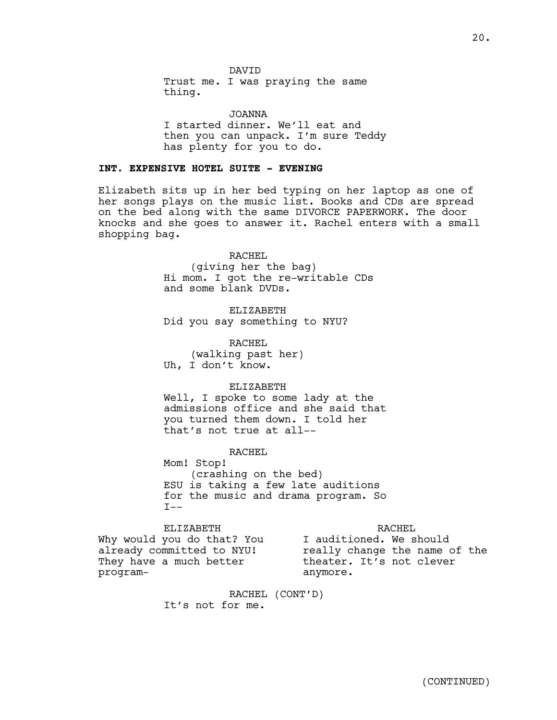DAVID

Trust me. I was praying the same thing.

JOANNA I started dinner. We'll eat and then you can unpack. I'm sure Teddy has plenty for you to do.

## **INT. EXPENSIVE HOTEL SUITE - EVENING**

Elizabeth sits up in her bed typing on her laptop as one of her songs plays on the music list. Books and CDs are spread on the bed along with the same DIVORCE PAPERWORK. The door knocks and she goes to answer it. Rachel enters with a small shopping bag.

> RACHEL (giving her the bag) Hi mom. I got the re-writable CDs and some blank DVDs.

ELIZABETH Did you say something to NYU?

RACHEL (walking past her) Uh, I don't know.

#### ELIZABETH

Well, I spoke to some lady at the admissions office and she said that you turned them down. I told her that's not true at all--

RACHEL

Mom! Stop! (crashing on the bed) ESU is taking a few late auditions for the music and drama program. So  $I--$ 

ELIZABETH Why would you do that? You already committed to NYU! They have a much better program-RACHEL I auditioned. We should really change the name of the theater. It's not clever anymore.

> RACHEL (CONT'D) It's not for me.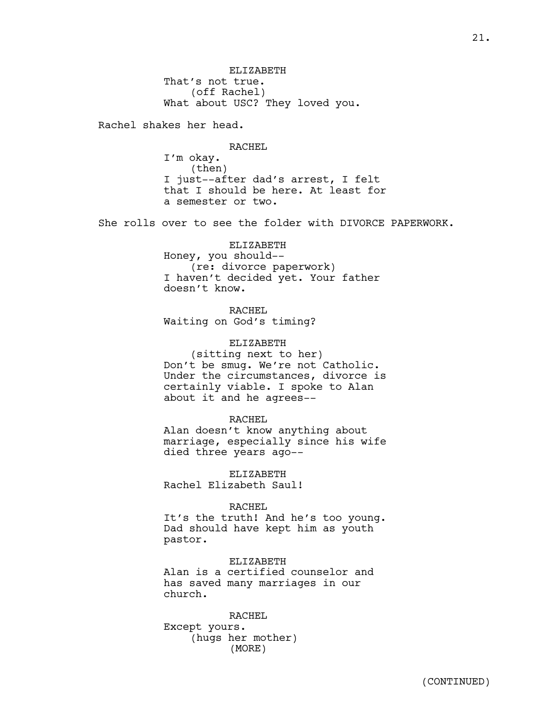ELIZABETH That's not true. (off Rachel) What about USC? They loved you.

Rachel shakes her head.

RACHEL I'm okay. (then) I just--after dad's arrest, I felt that I should be here. At least for a semester or two.

She rolls over to see the folder with DIVORCE PAPERWORK.

ELIZABETH Honey, you should-- (re: divorce paperwork) I haven't decided yet. Your father doesn't know.

RACHEL Waiting on God's timing?

ELIZABETH (sitting next to her) Don't be smug. We're not Catholic. Under the circumstances, divorce is certainly viable. I spoke to Alan about it and he agrees--

#### RACHEL

Alan doesn't know anything about marriage, especially since his wife died three years ago--

ELIZABETH Rachel Elizabeth Saul!

#### RACHEL

It's the truth! And he's too young. Dad should have kept him as youth pastor.

ELIZABETH Alan is a certified counselor and has saved many marriages in our church.

RACHEL Except yours. (hugs her mother) (MORE)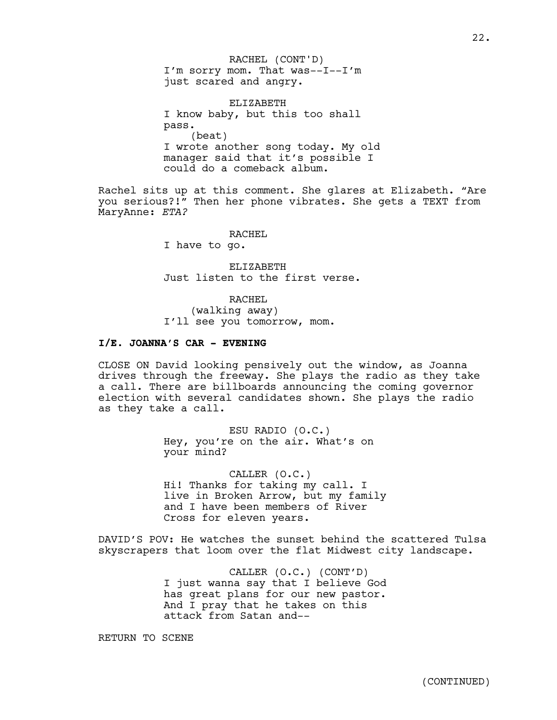I'm sorry mom. That was--I--I'm just scared and angry. RACHEL (CONT'D)

ELIZABETH I know baby, but this too shall pass. (beat) I wrote another song today. My old manager said that it's possible I could do a comeback album.

Rachel sits up at this comment. She glares at Elizabeth. "Are you serious?!" Then her phone vibrates. She gets a TEXT from MaryAnne: *ETA?*

RACHEL

I have to go.

ELIZABETH Just listen to the first verse.

RACHEL (walking away) I'll see you tomorrow, mom.

## **I/E. JOANNA'S CAR - EVENING**

CLOSE ON David looking pensively out the window, as Joanna drives through the freeway. She plays the radio as they take a call. There are billboards announcing the coming governor election with several candidates shown. She plays the radio as they take a call.

> ESU RADIO (O.C.) Hey, you're on the air. What's on your mind?

CALLER (O.C.) Hi! Thanks for taking my call. I live in Broken Arrow, but my family and I have been members of River Cross for eleven years.

DAVID'S POV: He watches the sunset behind the scattered Tulsa skyscrapers that loom over the flat Midwest city landscape.

> CALLER (O.C.) (CONT'D) I just wanna say that I believe God has great plans for our new pastor. And I pray that he takes on this attack from Satan and--

RETURN TO SCENE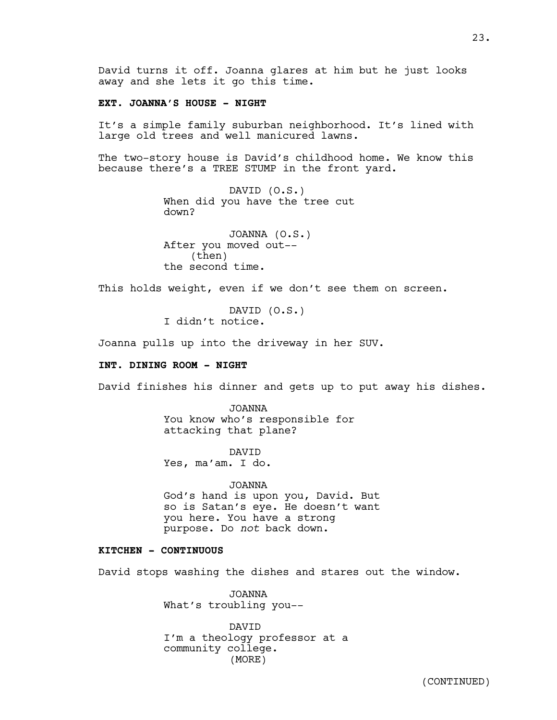David turns it off. Joanna glares at him but he just looks away and she lets it go this time.

## **EXT. JOANNA'S HOUSE - NIGHT**

It's a simple family suburban neighborhood. It's lined with large old trees and well manicured lawns.

The two-story house is David's childhood home. We know this because there's a TREE STUMP in the front yard.

> DAVID (O.S.) When did you have the tree cut down?

JOANNA (O.S.) After you moved out-- (then) the second time.

This holds weight, even if we don't see them on screen.

DAVID (O.S.) I didn't notice.

Joanna pulls up into the driveway in her SUV.

## **INT. DINING ROOM - NIGHT**

David finishes his dinner and gets up to put away his dishes.

JOANNA You know who's responsible for attacking that plane?

DAVID Yes, ma'am. I do.

JOANNA God's hand is upon you, David. But so is Satan's eye. He doesn't want you here. You have a strong purpose. Do *not* back down.

## **KITCHEN - CONTINUOUS**

David stops washing the dishes and stares out the window.

JOANNA What's troubling you--

DAVID I'm a theology professor at a community college. (MORE)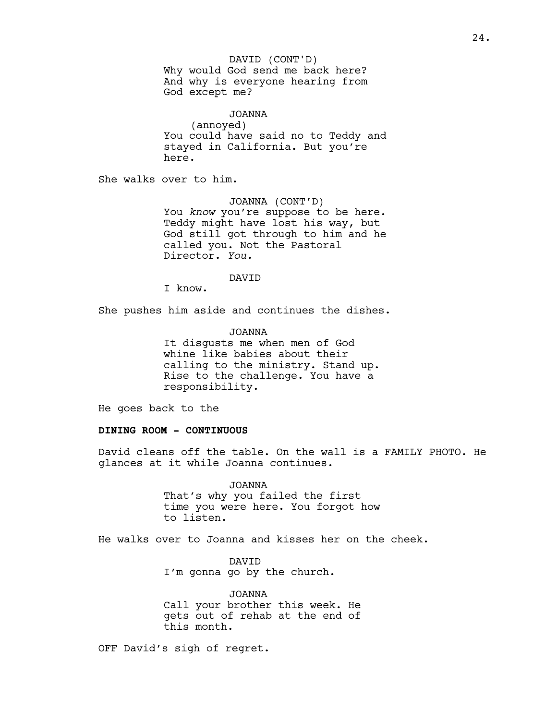#### DAVID (CONT'D)

Why would God send me back here? And why is everyone hearing from God except me?

JOANNA (annoyed) You could have said no to Teddy and stayed in California. But you're here.

She walks over to him.

JOANNA (CONT'D) You *know* you're suppose to be here. Teddy might have lost his way, but God still got through to him and he called you. Not the Pastoral Director. *You.*

DAVID

I know.

She pushes him aside and continues the dishes.

JOANNA It disgusts me when men of God whine like babies about their calling to the ministry. Stand up. Rise to the challenge. You have a responsibility.

He goes back to the

## **DINING ROOM - CONTINUOUS**

David cleans off the table. On the wall is a FAMILY PHOTO. He glances at it while Joanna continues.

> JOANNA That's why you failed the first time you were here. You forgot how to listen.

He walks over to Joanna and kisses her on the cheek.

DAVID I'm gonna go by the church.

JOANNA Call your brother this week. He gets out of rehab at the end of this month.

OFF David's sigh of regret.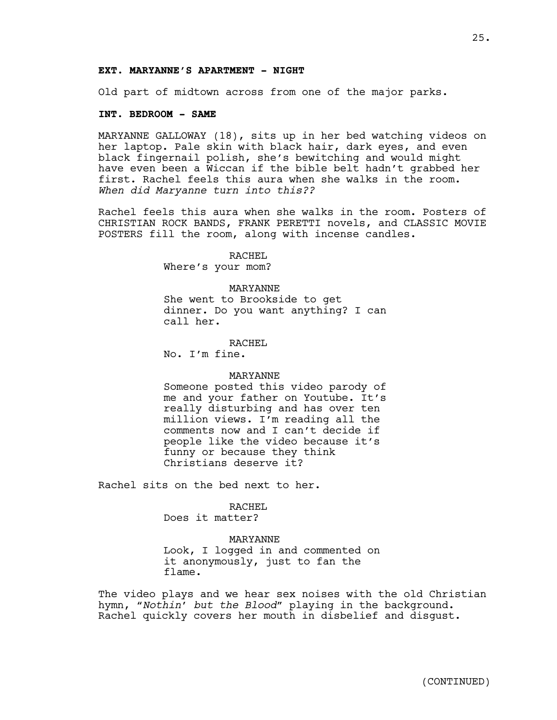Old part of midtown across from one of the major parks.

#### **INT. BEDROOM - SAME**

MARYANNE GALLOWAY (18), sits up in her bed watching videos on her laptop. Pale skin with black hair, dark eyes, and even black fingernail polish, she's bewitching and would might have even been a Wiccan if the bible belt hadn't grabbed her first. Rachel feels this aura when she walks in the room. *When did Maryanne turn into this??*

Rachel feels this aura when she walks in the room. Posters of CHRISTIAN ROCK BANDS, FRANK PERETTI novels, and CLASSIC MOVIE POSTERS fill the room, along with incense candles.

> RACHEL Where's your mom?

#### MARYANNE

She went to Brookside to get dinner. Do you want anything? I can call her.

RACHEL

No. I'm fine.

#### MARYANNE

Someone posted this video parody of me and your father on Youtube. It's really disturbing and has over ten million views. I'm reading all the comments now and I can't decide if people like the video because it's funny or because they think Christians deserve it?

Rachel sits on the bed next to her.

#### RACHEL

Does it matter?

#### MARYANNE

Look, I logged in and commented on it anonymously, just to fan the flame.

The video plays and we hear sex noises with the old Christian hymn, *"Nothin' but the Blood"* playing in the background. Rachel quickly covers her mouth in disbelief and disgust.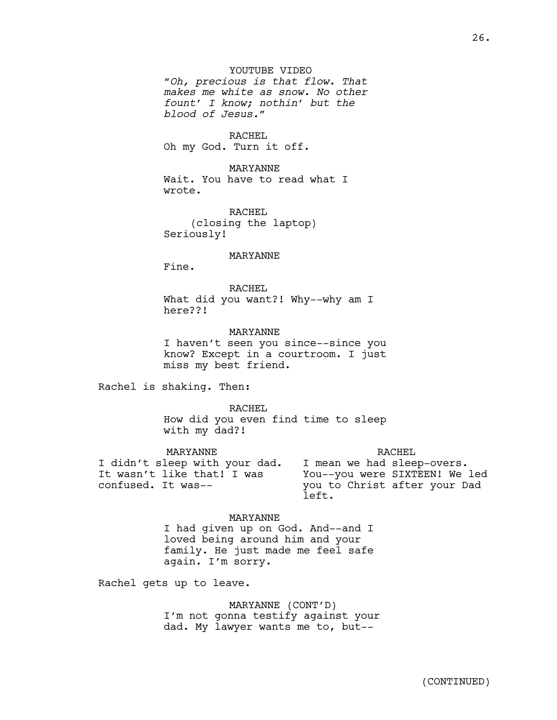## YOUTUBE VIDEO

*"Oh, precious is that flow. That makes me white as snow. No other fount' I know; nothin' but the blood of Jesus."*

RACHEL Oh my God. Turn it off.

MARYANNE Wait. You have to read what I wrote.

RACHEL (closing the laptop) Seriously!

#### MARYANNE

Fine.

RACHEL What did you want?! Why--why am I here??!

MARYANNE I haven't seen you since--since you know? Except in a courtroom. I just miss my best friend.

Rachel is shaking. Then:

RACHEL How did you even find time to sleep with my dad?!

MARYANNE I didn't sleep with your dad. It wasn't like that! I was confused. It was-- RACHEL I mean we had sleep-overs. You--you were SIXTEEN! We led you to Christ after your Dad left.

MARYANNE

I had given up on God. And--and I loved being around him and your family. He just made me feel safe again. I'm sorry.

Rachel gets up to leave.

MARYANNE (CONT'D) I'm not gonna testify against your dad. My lawyer wants me to, but--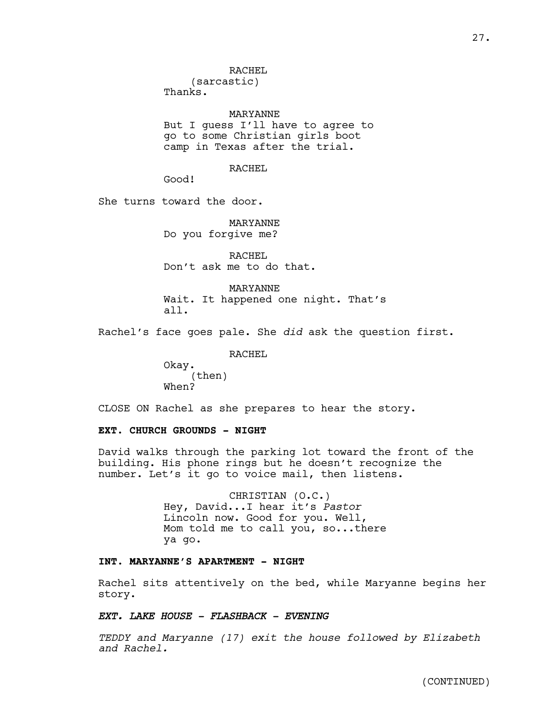#### RACHEL

(sarcastic) Thanks.

MARYANNE But I guess I'll have to agree to go to some Christian girls boot camp in Texas after the trial.

## RACHEL

Good!

She turns toward the door.

MARYANNE Do you forgive me?

RACHEL Don't ask me to do that.

MARYANNE Wait. It happened one night. That's all.

Rachel's face goes pale. She *did* ask the question first.

RACHEL

Okay. (then) When?

CLOSE ON Rachel as she prepares to hear the story.

## **EXT. CHURCH GROUNDS - NIGHT**

David walks through the parking lot toward the front of the building. His phone rings but he doesn't recognize the number. Let's it go to voice mail, then listens.

> CHRISTIAN (O.C.) Hey, David...I hear it's *Pastor* Lincoln now. Good for you. Well, Mom told me to call you, so...there ya go.

## **INT. MARYANNE'S APARTMENT - NIGHT**

Rachel sits attentively on the bed, while Maryanne begins her story.

## *EXT. LAKE HOUSE - FLASHBACK - EVENING*

*TEDDY and Maryanne (17) exit the house followed by Elizabeth and Rachel.*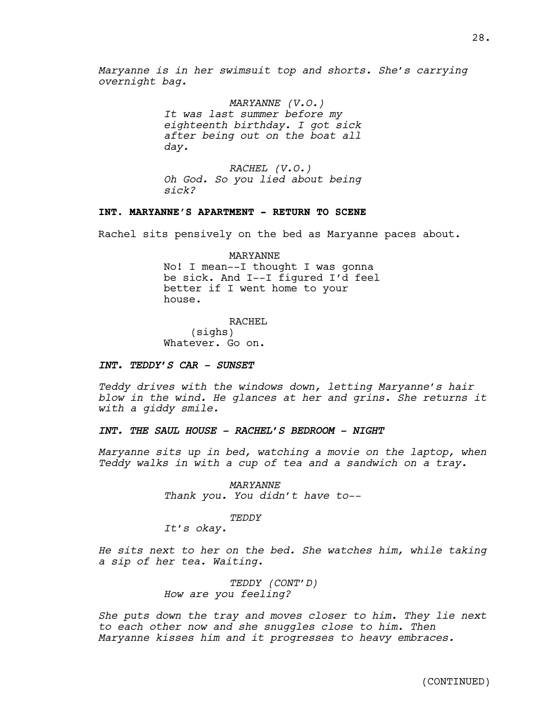*Maryanne is in her swimsuit top and shorts. She's carrying overnight bag.* 

> *MARYANNE (V.O.) It was last summer before my eighteenth birthday. I got sick after being out on the boat all day.*

> *RACHEL (V.O.) Oh God. So you lied about being sick?*

## **INT. MARYANNE'S APARTMENT - RETURN TO SCENE**

Rachel sits pensively on the bed as Maryanne paces about.

MARYANNE No! I mean--I thought I was gonna be sick. And I--I figured I'd feel better if I went home to your house.

RACHEL (sighs) Whatever. Go on.

## *INT. TEDDY'S CAR - SUNSET*

*Teddy drives with the windows down, letting Maryanne's hair blow in the wind. He glances at her and grins. She returns it with a giddy smile.* 

## *INT. THE SAUL HOUSE - RACHEL'S BEDROOM - NIGHT*

*Maryanne sits up in bed, watching a movie on the laptop, when Teddy walks in with a cup of tea and a sandwich on a tray.*

> *MARYANNE Thank you. You didn't have to--*

#### *TEDDY*

*It's okay.*

*He sits next to her on the bed. She watches him, while taking a sip of her tea. Waiting.*

> *TEDDY (CONT'D) How are you feeling?*

*She puts down the tray and moves closer to him. They lie next to each other now and she snuggles close to him. Then Maryanne kisses him and it progresses to heavy embraces.*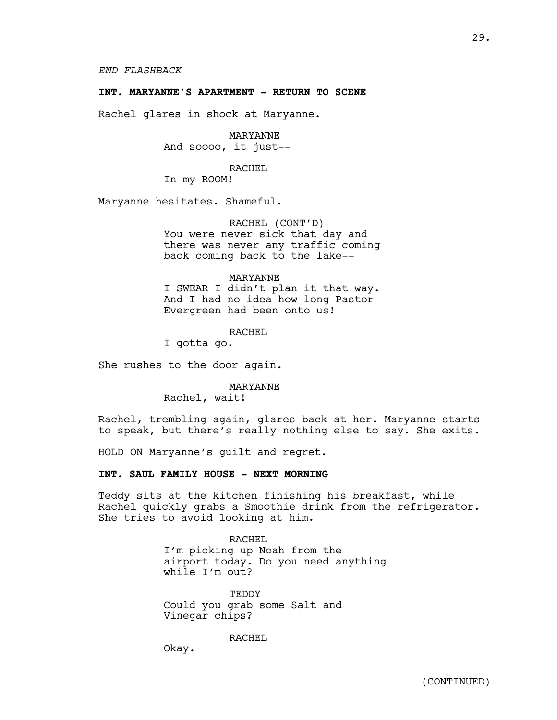## **INT. MARYANNE'S APARTMENT - RETURN TO SCENE**

Rachel glares in shock at Maryanne.

MARYANNE And soooo, it just--

RACHEL

In my ROOM!

Maryanne hesitates. Shameful.

RACHEL (CONT'D) You were never sick that day and there was never any traffic coming back coming back to the lake--

## MARYANNE I SWEAR I didn't plan it that way.

And I had no idea how long Pastor Evergreen had been onto us!

## RACHEL

I gotta go.

She rushes to the door again.

#### MARYANNE

Rachel, wait!

Rachel, trembling again, glares back at her. Maryanne starts to speak, but there's really nothing else to say. She exits.

HOLD ON Maryanne's guilt and regret.

## **INT. SAUL FAMILY HOUSE - NEXT MORNING**

Teddy sits at the kitchen finishing his breakfast, while Rachel quickly grabs a Smoothie drink from the refrigerator. She tries to avoid looking at him.

## RACHEL I'm picking up Noah from the airport today. Do you need anything while I'm out?

**TEDDY** Could you grab some Salt and Vinegar chips?

RACHEL

Okay.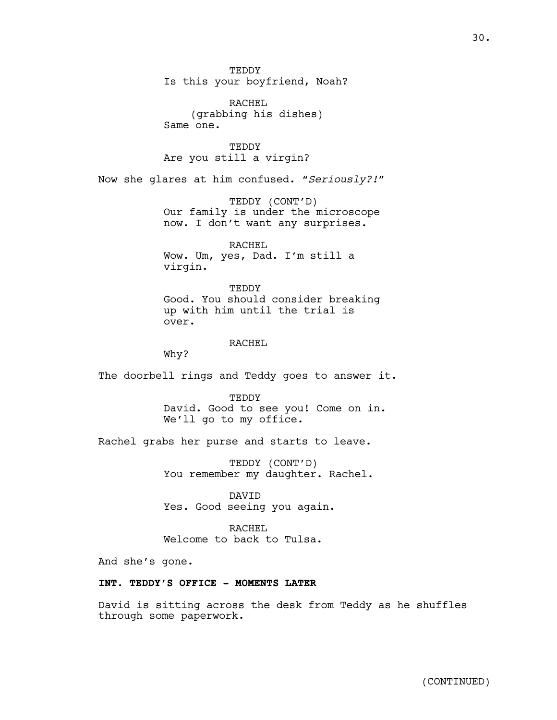**TEDDY** Is this your boyfriend, Noah?

RACHEL (grabbing his dishes) Same one.

TEDDY Are you still a virgin?

Now she glares at him confused. *"Seriously?!"*

TEDDY (CONT'D) Our family is under the microscope now. I don't want any surprises.

RACHEL Wow. Um, yes, Dad. I'm still a virgin.

**TEDDY** Good. You should consider breaking up with him until the trial is over.

RACHEL

Why?

The doorbell rings and Teddy goes to answer it.

**TEDDY** David. Good to see you! Come on in. We'll go to my office.

Rachel grabs her purse and starts to leave.

TEDDY (CONT'D) You remember my daughter. Rachel.

DAVID Yes. Good seeing you again.

RACHEL Welcome to back to Tulsa.

And she's gone.

## **INT. TEDDY'S OFFICE - MOMENTS LATER**

David is sitting across the desk from Teddy as he shuffles through some paperwork.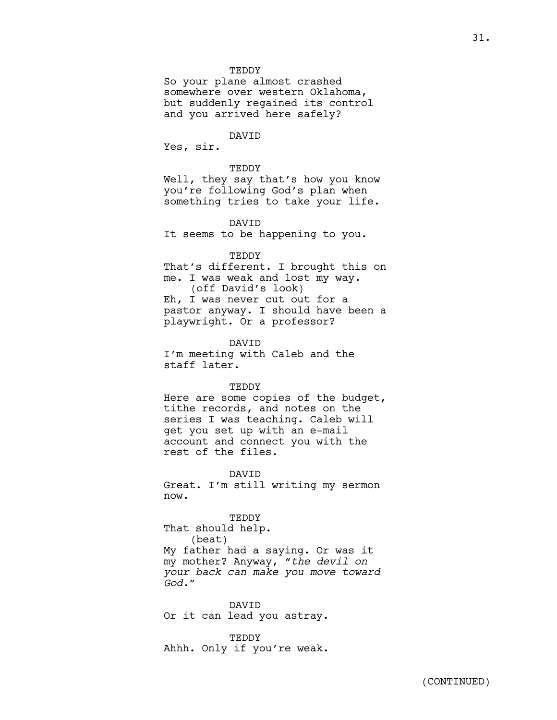#### **TEDDY**

So your plane almost crashed somewhere over western Oklahoma, but suddenly regained its control and you arrived here safely?

#### DAVID

Yes, sir.

#### TEDDY

Well, they say that's how you know you're following God's plan when something tries to take your life.

DAVID

It seems to be happening to you.

## TEDDY

That's different. I brought this on me. I was weak and lost my way. (off David's look) Eh, I was never cut out for a pastor anyway. I should have been a playwright. Or a professor?

DAVID I'm meeting with Caleb and the staff later.

#### TEDDY

Here are some copies of the budget, tithe records, and notes on the series I was teaching. Caleb will get you set up with an e-mail account and connect you with the rest of the files.

DAVID

Great. I'm still writing my sermon now.

TEDDY

That should help. (beat) My father had a saying. Or was it my mother? Anyway, *"the devil on your back can make you move toward God."*

DAVID Or it can lead you astray.

TEDDY Ahhh. Only if you're weak.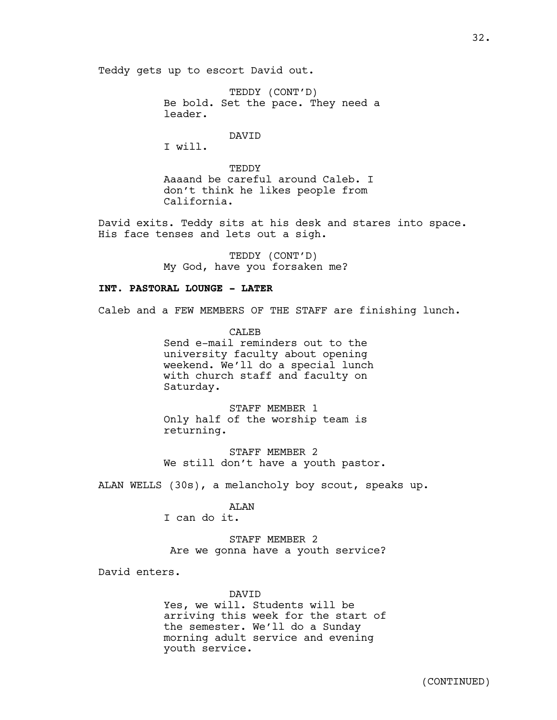Teddy gets up to escort David out.

TEDDY (CONT'D) Be bold. Set the pace. They need a leader.

DAVID

I will.

**TEDDY** Aaaand be careful around Caleb. I don't think he likes people from California.

David exits. Teddy sits at his desk and stares into space. His face tenses and lets out a sigh.

> TEDDY (CONT'D) My God, have you forsaken me?

## **INT. PASTORAL LOUNGE - LATER**

Caleb and a FEW MEMBERS OF THE STAFF are finishing lunch.

**CALEB** Send e-mail reminders out to the university faculty about opening weekend. We'll do a special lunch with church staff and faculty on Saturday.

STAFF MEMBER 1 Only half of the worship team is returning.

STAFF MEMBER 2 We still don't have a youth pastor.

ALAN WELLS (30s), a melancholy boy scout, speaks up.

#### ALAN

I can do it.

STAFF MEMBER 2 Are we gonna have a youth service?

David enters.

DAVID Yes, we will. Students will be arriving this week for the start of the semester. We'll do a Sunday morning adult service and evening youth service.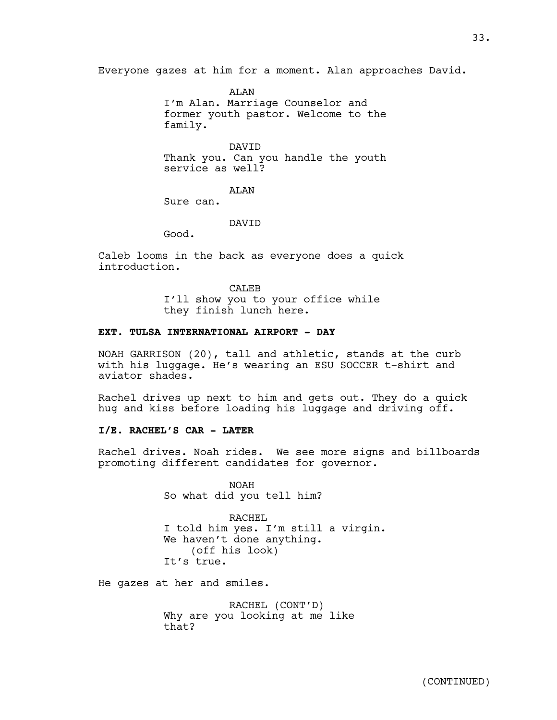Everyone gazes at him for a moment. Alan approaches David.

AT.AN I'm Alan. Marriage Counselor and former youth pastor. Welcome to the family.

DAVID Thank you. Can you handle the youth service as well?

ALAN

Sure can.

DAVID

Good.

Caleb looms in the back as everyone does a quick introduction.

> CALEB I'll show you to your office while they finish lunch here.

## **EXT. TULSA INTERNATIONAL AIRPORT - DAY**

NOAH GARRISON (20), tall and athletic, stands at the curb with his luggage. He's wearing an ESU SOCCER t-shirt and aviator shades.

Rachel drives up next to him and gets out. They do a quick hug and kiss before loading his luggage and driving off.

## **I/E. RACHEL'S CAR - LATER**

Rachel drives. Noah rides. We see more signs and billboards promoting different candidates for governor.

> NOAH So what did you tell him?

RACHEL I told him yes. I'm still a virgin. We haven't done anything. (off his look) It's true.

He gazes at her and smiles.

RACHEL (CONT'D) Why are you looking at me like that?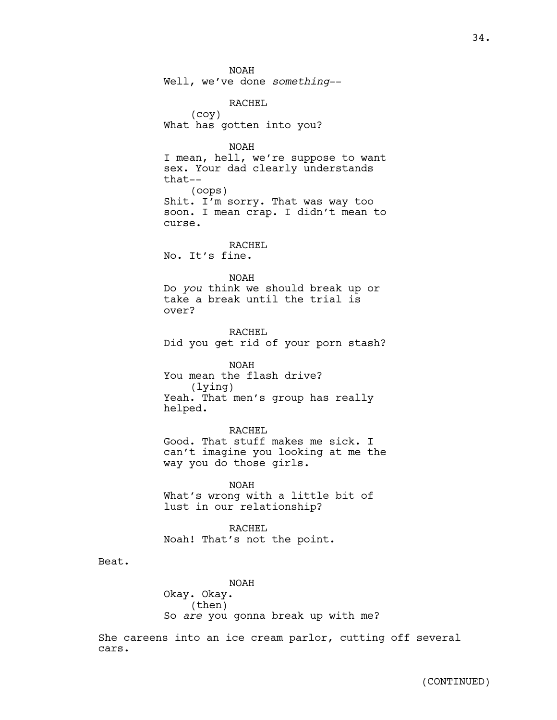NOAH Well, we've done *something*-- RACHEL (coy) What has gotten into you? NOAH I mean, hell, we're suppose to want sex. Your dad clearly understands that-- (oops) Shit. I'm sorry. That was way too soon. I mean crap. I didn't mean to curse. RACHEL No. It's fine. NOAH Do *you* think we should break up or take a break until the trial is over? RACHEL Did you get rid of your porn stash? NOAH You mean the flash drive? (lying) Yeah. That men's group has really helped. RACHEL Good. That stuff makes me sick. I can't imagine you looking at me the way you do those girls. NOAH What's wrong with a little bit of lust in our relationship? RACHEL Noah! That's not the point. NOAH Okay. Okay. (then)

So *are* you gonna break up with me?

Beat.

She careens into an ice cream parlor, cutting off several cars.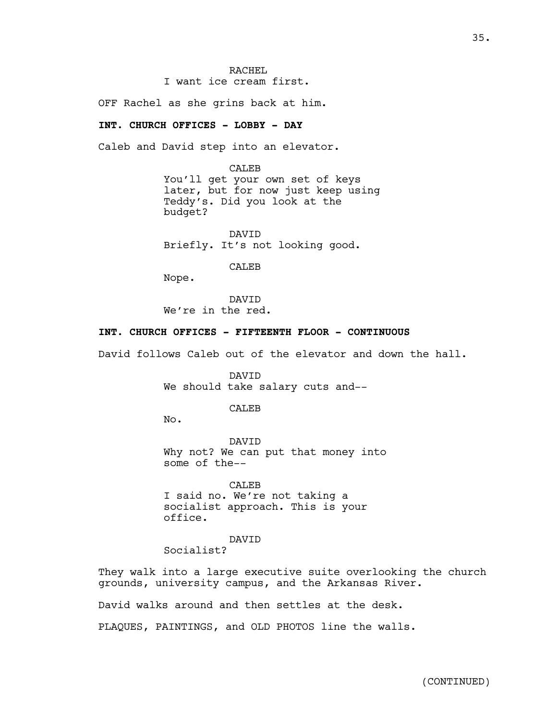OFF Rachel as she grins back at him.

## **INT. CHURCH OFFICES - LOBBY - DAY**

Caleb and David step into an elevator.

CALEB You'll get your own set of keys later, but for now just keep using Teddy's. Did you look at the budget?

DAVID Briefly. It's not looking good.

CALEB

Nope.

DAVID We're in the red.

## **INT. CHURCH OFFICES - FIFTEENTH FLOOR - CONTINUOUS**

David follows Caleb out of the elevator and down the hall.

DAVID We should take salary cuts and--

**CALEB** 

No.

DAVID Why not? We can put that money into some of the--

CALEB I said no. We're not taking a socialist approach. This is your office.

DAVID Socialist?

They walk into a large executive suite overlooking the church grounds, university campus, and the Arkansas River.

David walks around and then settles at the desk.

PLAQUES, PAINTINGS, and OLD PHOTOS line the walls.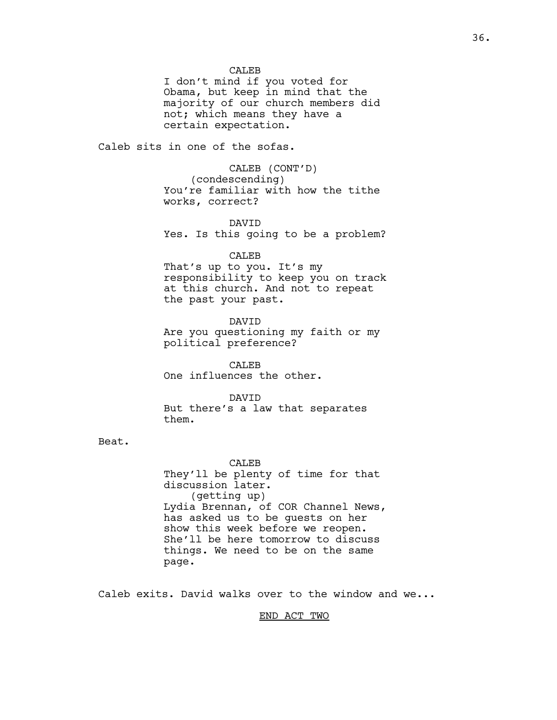**CALEB** 

I don't mind if you voted for Obama, but keep in mind that the majority of our church members did not; which means they have a certain expectation.

Caleb sits in one of the sofas.

CALEB (CONT'D) (condescending) You're familiar with how the tithe works, correct?

#### DAVID

Yes. Is this going to be a problem?

CALEB

That's up to you. It's my responsibility to keep you on track at this church. And not to repeat the past your past.

DAVID Are you questioning my faith or my political preference?

CALEB One influences the other.

DAVID But there's a law that separates them.

Beat.

CALEB They'll be plenty of time for that discussion later. (getting up) Lydia Brennan, of COR Channel News, has asked us to be guests on her show this week before we reopen. She'll be here tomorrow to discuss things. We need to be on the same page.

Caleb exits. David walks over to the window and we...

END ACT TWO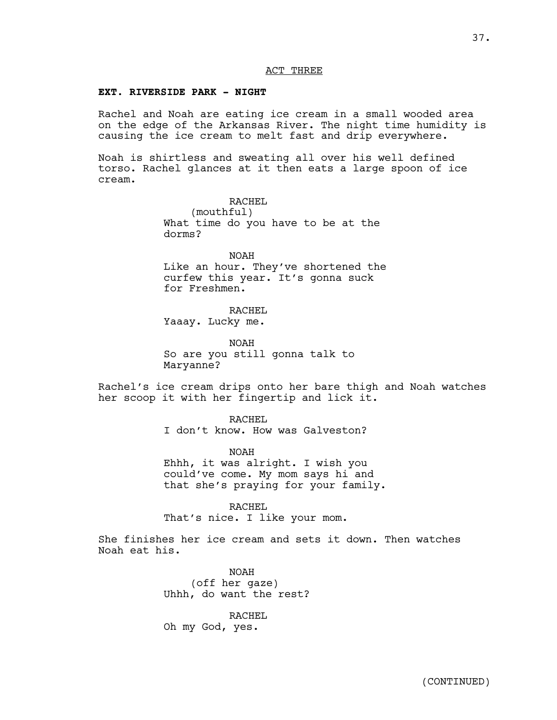## ACT THREE

## **EXT. RIVERSIDE PARK - NIGHT**

Rachel and Noah are eating ice cream in a small wooded area on the edge of the Arkansas River. The night time humidity is causing the ice cream to melt fast and drip everywhere.

Noah is shirtless and sweating all over his well defined torso. Rachel glances at it then eats a large spoon of ice cream.

> RACHEL (mouthful) What time do you have to be at the dorms?

NOAH Like an hour. They've shortened the curfew this year. It's gonna suck for Freshmen.

RACHEL

Yaaay. Lucky me.

NOAH So are you still gonna talk to Maryanne?

Rachel's ice cream drips onto her bare thigh and Noah watches her scoop it with her fingertip and lick it.

> RACHEL I don't know. How was Galveston?

NOAH Ehhh, it was alright. I wish you could've come. My mom says hi and that she's praying for your family.

RACHEL

That's nice. I like your mom.

She finishes her ice cream and sets it down. Then watches Noah eat his.

> NOAH (off her gaze) Uhhh, do want the rest?

RACHEL Oh my God, yes.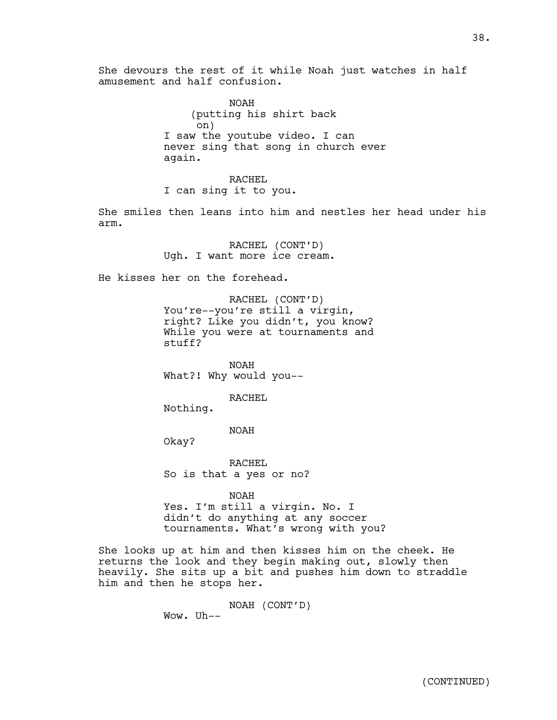She devours the rest of it while Noah just watches in half amusement and half confusion.

> NOAH (putting his shirt back on) I saw the youtube video. I can never sing that song in church ever again.

RACHEL I can sing it to you.

She smiles then leans into him and nestles her head under his arm.

> RACHEL (CONT'D) Ugh. I want more ice cream.

He kisses her on the forehead.

RACHEL (CONT'D) You're--you're still a virgin, right? Like you didn't, you know? While you were at tournaments and stuff?

NOAH What?! Why would you--

RACHEL

Nothing.

NOAH

Okay?

RACHEL So is that a yes or no?

NOAH Yes. I'm still a virgin. No. I didn't do anything at any soccer tournaments. What's wrong with you?

She looks up at him and then kisses him on the cheek. He returns the look and they begin making out, slowly then heavily. She sits up a bit and pushes him down to straddle him and then he stops her.

> NOAH (CONT'D) Wow. Uh--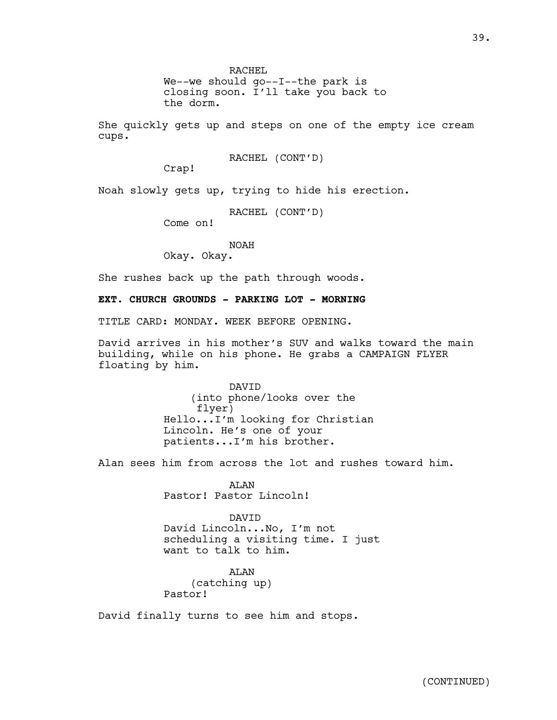RACHEL

We--we should go--I--the park is closing soon. I'll take you back to the dorm.

She quickly gets up and steps on one of the empty ice cream cups.

RACHEL (CONT'D)

Crap!

Noah slowly gets up, trying to hide his erection.

RACHEL (CONT'D)

Come on!

## NOAH

Okay. Okay.

She rushes back up the path through woods.

**EXT. CHURCH GROUNDS - PARKING LOT - MORNING**

TITLE CARD: MONDAY. WEEK BEFORE OPENING.

David arrives in his mother's SUV and walks toward the main building, while on his phone. He grabs a CAMPAIGN FLYER floating by him.

> DAVID (into phone/looks over the flyer) Hello...I'm looking for Christian Lincoln. He's one of your patients...I'm his brother.

Alan sees him from across the lot and rushes toward him.

ALAN Pastor! Pastor Lincoln!

DAVID David Lincoln...No, I'm not scheduling a visiting time. I just want to talk to him.

**ATAN** (catching up) Pastor!

David finally turns to see him and stops.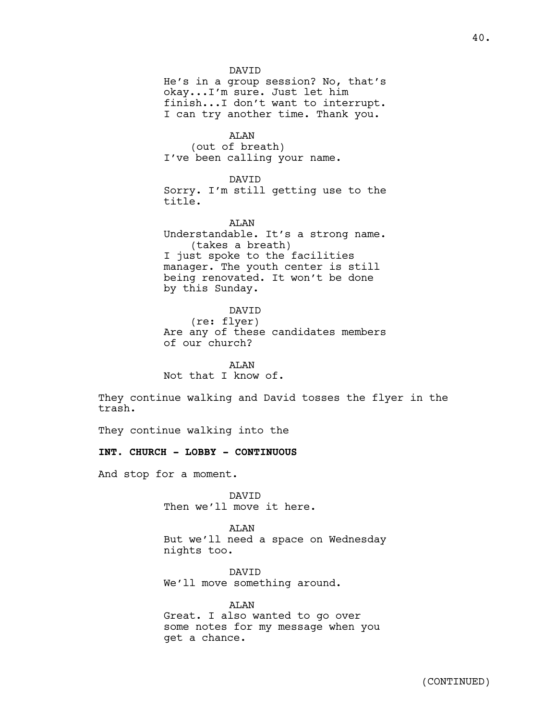DAVID He's in a group session? No, that's okay...I'm sure. Just let him finish...I don't want to interrupt. I can try another time. Thank you.

ALAN (out of breath) I've been calling your name.

DAVID Sorry. I'm still getting use to the title.

AT.AN Understandable. It's a strong name. (takes a breath) I just spoke to the facilities manager. The youth center is still being renovated. It won't be done by this Sunday.

DAVID

(re: flyer) Are any of these candidates members of our church?

ALAN Not that I know of.

They continue walking and David tosses the flyer in the trash.

They continue walking into the

**INT. CHURCH - LOBBY - CONTINUOUS**

And stop for a moment.

DAVID Then we'll move it here.

ALAN But we'll need a space on Wednesday nights too.

DAVID We'll move something around.

ALAN Great. I also wanted to go over some notes for my message when you get a chance.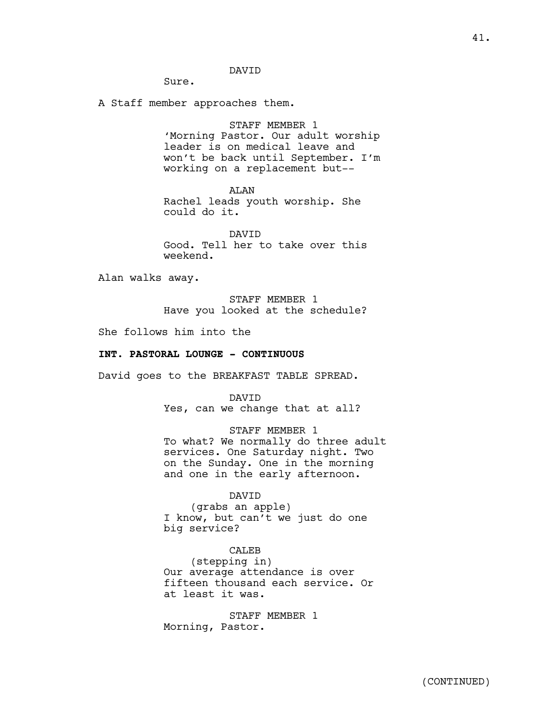## DAVID

Sure.

A Staff member approaches them.

## STAFF MEMBER 1

'Morning Pastor. Our adult worship leader is on medical leave and won't be back until September. I'm working on a replacement but--

## ALAN

Rachel leads youth worship. She could do it.

DAVID Good. Tell her to take over this weekend.

Alan walks away.

STAFF MEMBER 1 Have you looked at the schedule?

She follows him into the

## **INT. PASTORAL LOUNGE - CONTINUOUS**

David goes to the BREAKFAST TABLE SPREAD.

DAVID Yes, can we change that at all?

STAFF MEMBER 1 To what? We normally do three adult services. One Saturday night. Two on the Sunday. One in the morning and one in the early afternoon.

#### DAVID

(grabs an apple) I know, but can't we just do one big service?

## CALEB

(stepping in) Our average attendance is over fifteen thousand each service. Or at least it was.

STAFF MEMBER 1 Morning, Pastor.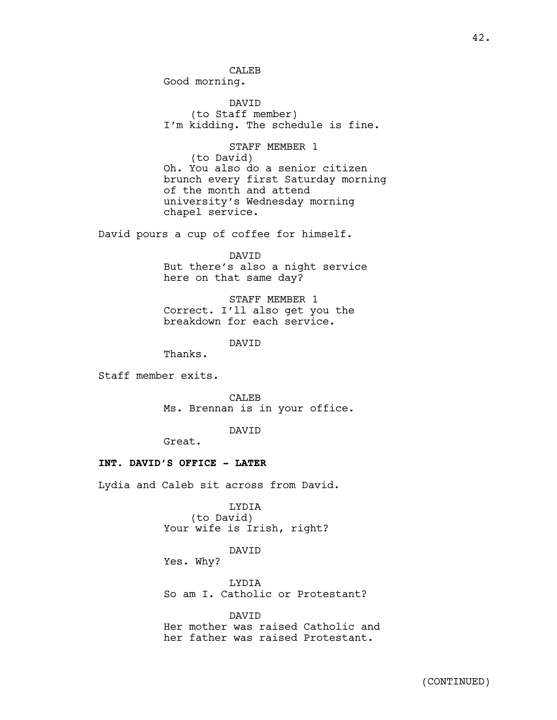CALEB Good morning.

DAVID (to Staff member) I'm kidding. The schedule is fine.

STAFF MEMBER 1 (to David) Oh. You also do a senior citizen brunch every first Saturday morning of the month and attend university's Wednesday morning chapel service.

David pours a cup of coffee for himself.

DAVID But there's also a night service here on that same day?

STAFF MEMBER 1 Correct. I'll also get you the breakdown for each service.

DAVID

Thanks.

Staff member exits.

CALEB Ms. Brennan is in your office.

DAVID

Great.

## **INT. DAVID'S OFFICE - LATER**

Lydia and Caleb sit across from David.

LYDIA (to David) Your wife is Irish, right?

DAVID

Yes. Why?

LYDIA So am I. Catholic or Protestant?

DAVID

Her mother was raised Catholic and her father was raised Protestant.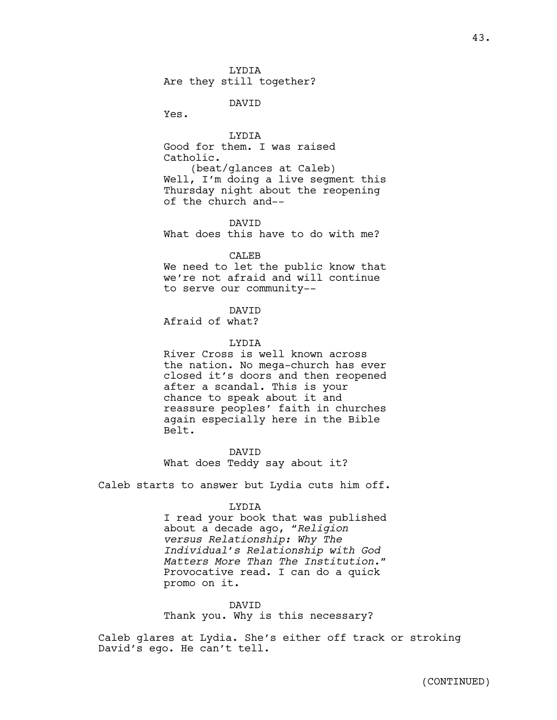LYDIA Are they still together?

DAVID

Yes.

LYDIA Good for them. I was raised Catholic. (beat/glances at Caleb) Well, I'm doing a live segment this Thursday night about the reopening of the church and--

43.

DAVID What does this have to do with me?

CALEB

We need to let the public know that we're not afraid and will continue to serve our community--

DAVID

Afraid of what?

## LYDIA

River Cross is well known across the nation. No mega-church has ever closed it's doors and then reopened after a scandal. This is your chance to speak about it and reassure peoples' faith in churches again especially here in the Bible Belt.

DAVID What does Teddy say about it?

Caleb starts to answer but Lydia cuts him off.

#### LYDIA

I read your book that was published about a decade ago, *"Religion versus Relationship: Why The Individual's Relationship with God Matters More Than The Institution."* Provocative read. I can do a quick promo on it.

DAVID Thank you. Why is this necessary?

Caleb glares at Lydia. She's either off track or stroking David's ego. He can't tell.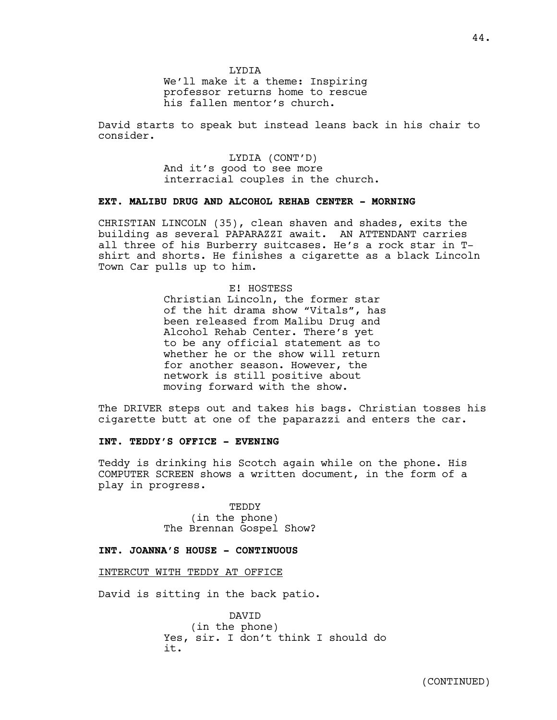We'll make it a theme: Inspiring professor returns home to rescue his fallen mentor's church.

David starts to speak but instead leans back in his chair to consider.

> LYDIA (CONT'D) And it's good to see more interracial couples in the church.

## **EXT. MALIBU DRUG AND ALCOHOL REHAB CENTER - MORNING**

CHRISTIAN LINCOLN (35), clean shaven and shades, exits the building as several PAPARAZZI await. AN ATTENDANT carries all three of his Burberry suitcases. He's a rock star in Tshirt and shorts. He finishes a cigarette as a black Lincoln Town Car pulls up to him.

## E! HOSTESS

Christian Lincoln, the former star of the hit drama show "Vitals", has been released from Malibu Drug and Alcohol Rehab Center. There's yet to be any official statement as to whether he or the show will return for another season. However, the network is still positive about moving forward with the show.

The DRIVER steps out and takes his bags. Christian tosses his cigarette butt at one of the paparazzi and enters the car.

## **INT. TEDDY'S OFFICE - EVENING**

Teddy is drinking his Scotch again while on the phone. His COMPUTER SCREEN shows a written document, in the form of a play in progress.

> **TEDDY** (in the phone) The Brennan Gospel Show?

## **INT. JOANNA'S HOUSE - CONTINUOUS**

## INTERCUT WITH TEDDY AT OFFICE

David is sitting in the back patio.

DAVID (in the phone) Yes, sir. I don't think I should do it.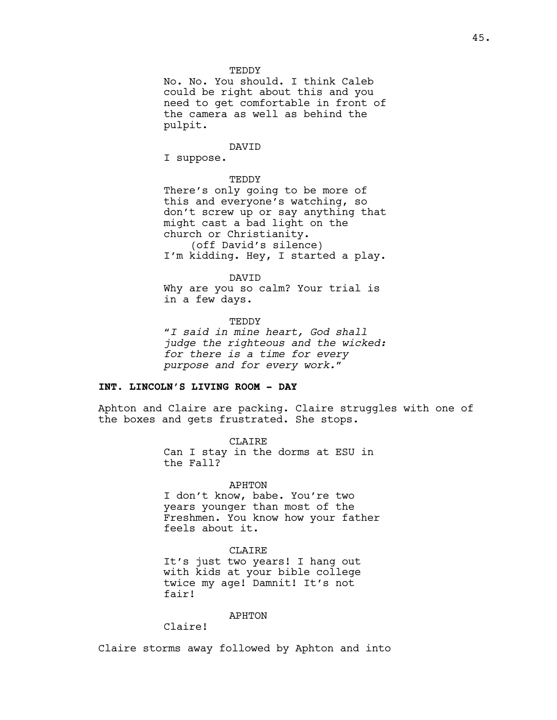#### **TEDDY**

No. No. You should. I think Caleb could be right about this and you need to get comfortable in front of the camera as well as behind the pulpit.

#### DAVID

I suppose.

#### TEDDY

There's only going to be more of this and everyone's watching, so don't screw up or say anything that might cast a bad light on the church or Christianity. (off David's silence) I'm kidding. Hey, I started a play.

#### DAVID

Why are you so calm? Your trial is in a few days.

## TEDDY *"I said in mine heart, God shall judge the righteous and the wicked: for there is a time for every purpose and for every work."*

#### **INT. LINCOLN'S LIVING ROOM - DAY**

Aphton and Claire are packing. Claire struggles with one of the boxes and gets frustrated. She stops.

> CLAIRE Can I stay in the dorms at ESU in the Fall?

#### APHTON

I don't know, babe. You're two years younger than most of the Freshmen. You know how your father feels about it.

#### CLAIRE

It's just two years! I hang out with kids at your bible college twice my age! Damnit! It's not fair!

#### APHTON

Claire!

Claire storms away followed by Aphton and into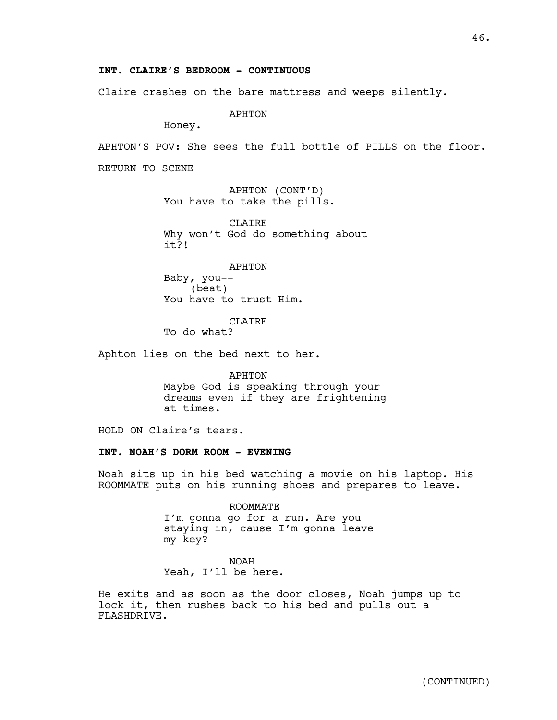## **INT. CLAIRE'S BEDROOM - CONTINUOUS**

Claire crashes on the bare mattress and weeps silently.

APHTON

Honey.

APHTON'S POV: She sees the full bottle of PILLS on the floor.

RETURN TO SCENE

APHTON (CONT'D) You have to take the pills.

CLAIRE Why won't God do something about it?!

APHTON Baby, you-- (beat) You have to trust Him.

CLAIRE To do what?

Aphton lies on the bed next to her.

APHTON Maybe God is speaking through your dreams even if they are frightening at times.

HOLD ON Claire's tears.

## **INT. NOAH'S DORM ROOM - EVENING**

Noah sits up in his bed watching a movie on his laptop. His ROOMMATE puts on his running shoes and prepares to leave.

> ROOMMATE I'm gonna go for a run. Are you staying in, cause I'm gonna leave my key?

NOAH Yeah, I'll be here.

He exits and as soon as the door closes, Noah jumps up to lock it, then rushes back to his bed and pulls out a FLASHDRIVE.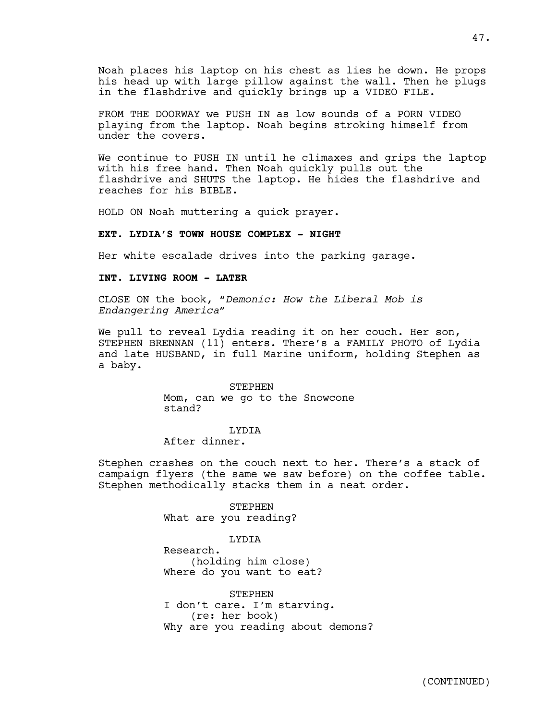Noah places his laptop on his chest as lies he down. He props his head up with large pillow against the wall. Then he plugs in the flashdrive and quickly brings up a VIDEO FILE.

FROM THE DOORWAY we PUSH IN as low sounds of a PORN VIDEO playing from the laptop. Noah begins stroking himself from under the covers.

We continue to PUSH IN until he climaxes and grips the laptop with his free hand. Then Noah quickly pulls out the flashdrive and SHUTS the laptop. He hides the flashdrive and reaches for his BIBLE.

HOLD ON Noah muttering a quick prayer.

## **EXT. LYDIA'S TOWN HOUSE COMPLEX - NIGHT**

Her white escalade drives into the parking garage.

## **INT. LIVING ROOM - LATER**

CLOSE ON the book, *"Demonic: How the Liberal Mob is Endangering America"*

We pull to reveal Lydia reading it on her couch. Her son, STEPHEN BRENNAN (11) enters. There's a FAMILY PHOTO of Lydia and late HUSBAND, in full Marine uniform, holding Stephen as a baby.

> STEPHEN Mom, can we go to the Snowcone stand?

## LYDIA

## After dinner.

Stephen crashes on the couch next to her. There's a stack of campaign flyers (the same we saw before) on the coffee table. Stephen methodically stacks them in a neat order.

> STEPHEN What are you reading?

## LYDIA

Research. (holding him close) Where do you want to eat?

STEPHEN I don't care. I'm starving. (re: her book) Why are you reading about demons?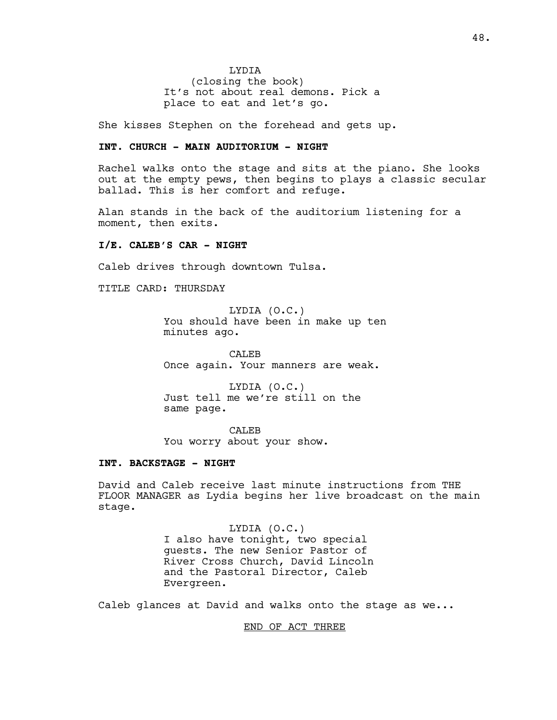LYDIA (closing the book) It's not about real demons. Pick a place to eat and let's go.

She kisses Stephen on the forehead and gets up.

## **INT. CHURCH - MAIN AUDITORIUM - NIGHT**

Rachel walks onto the stage and sits at the piano. She looks out at the empty pews, then begins to plays a classic secular ballad. This is her comfort and refuge.

Alan stands in the back of the auditorium listening for a moment, then exits.

## **I/E. CALEB'S CAR - NIGHT**

Caleb drives through downtown Tulsa.

TITLE CARD: THURSDAY

LYDIA (O.C.) You should have been in make up ten minutes ago.

CALEB Once again. Your manners are weak.

LYDIA (O.C.) Just tell me we're still on the same page.

CALEB You worry about your show.

## **INT. BACKSTAGE - NIGHT**

David and Caleb receive last minute instructions from THE FLOOR MANAGER as Lydia begins her live broadcast on the main stage.

> LYDIA (O.C.) I also have tonight, two special guests. The new Senior Pastor of River Cross Church, David Lincoln and the Pastoral Director, Caleb Evergreen.

Caleb glances at David and walks onto the stage as we...

END OF ACT THREE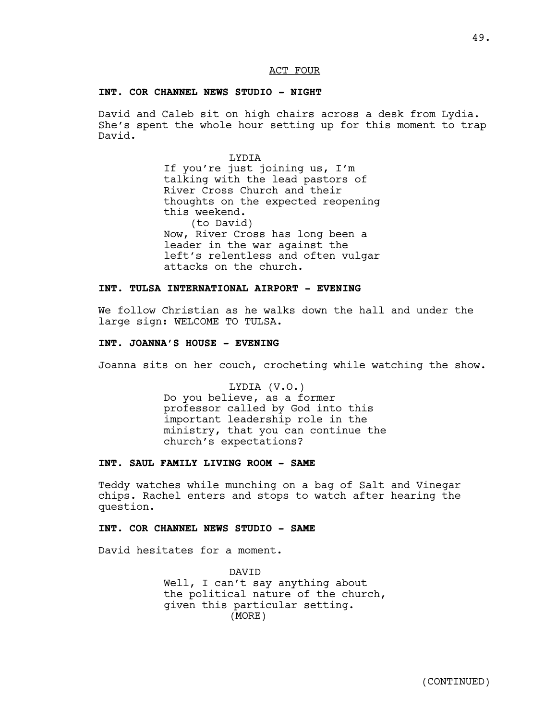## ACT FOUR

## **INT. COR CHANNEL NEWS STUDIO - NIGHT**

David and Caleb sit on high chairs across a desk from Lydia. She's spent the whole hour setting up for this moment to trap David.

> LYDIA If you're just joining us, I'm talking with the lead pastors of River Cross Church and their thoughts on the expected reopening this weekend. (to David) Now, River Cross has long been a leader in the war against the left's relentless and often vulgar attacks on the church.

## **INT. TULSA INTERNATIONAL AIRPORT - EVENING**

We follow Christian as he walks down the hall and under the large sign: WELCOME TO TULSA.

## **INT. JOANNA'S HOUSE - EVENING**

Joanna sits on her couch, crocheting while watching the show.

LYDIA (V.O.) Do you believe, as a former professor called by God into this important leadership role in the ministry, that you can continue the church's expectations?

## **INT. SAUL FAMILY LIVING ROOM - SAME**

Teddy watches while munching on a bag of Salt and Vinegar chips. Rachel enters and stops to watch after hearing the question.

## **INT. COR CHANNEL NEWS STUDIO - SAME**

David hesitates for a moment.

DAVID Well, I can't say anything about the political nature of the church, given this particular setting. (MORE)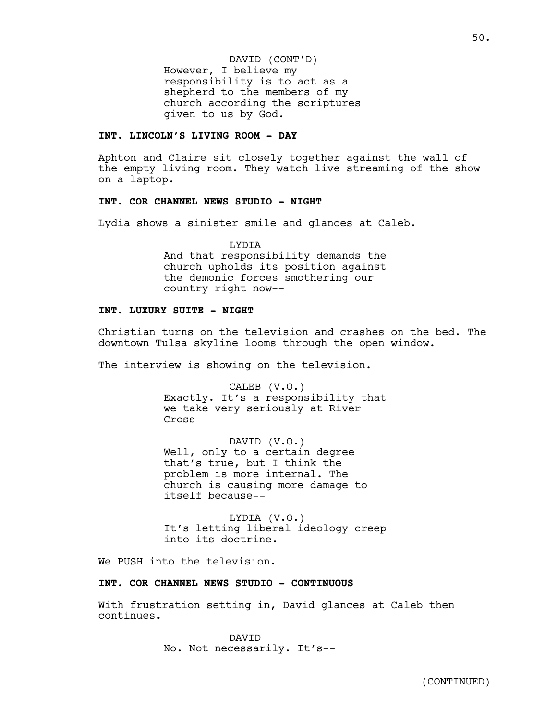However, I believe my responsibility is to act as a shepherd to the members of my church according the scriptures given to us by God. DAVID (CONT'D)

## **INT. LINCOLN'S LIVING ROOM - DAY**

Aphton and Claire sit closely together against the wall of the empty living room. They watch live streaming of the show on a laptop.

## **INT. COR CHANNEL NEWS STUDIO - NIGHT**

Lydia shows a sinister smile and glances at Caleb.

LYDIA And that responsibility demands the church upholds its position against the demonic forces smothering our country right now--

## **INT. LUXURY SUITE - NIGHT**

Christian turns on the television and crashes on the bed. The downtown Tulsa skyline looms through the open window.

The interview is showing on the television.

CALEB (V.O.) Exactly. It's a responsibility that we take very seriously at River Cross--

DAVID (V.O.) Well, only to a certain degree that's true, but I think the problem is more internal. The church is causing more damage to itself because--

LYDIA (V.O.) It's letting liberal ideology creep into its doctrine.

We PUSH into the television.

## **INT. COR CHANNEL NEWS STUDIO - CONTINUOUS**

With frustration setting in, David glances at Caleb then continues.

> DAVID No. Not necessarily. It's--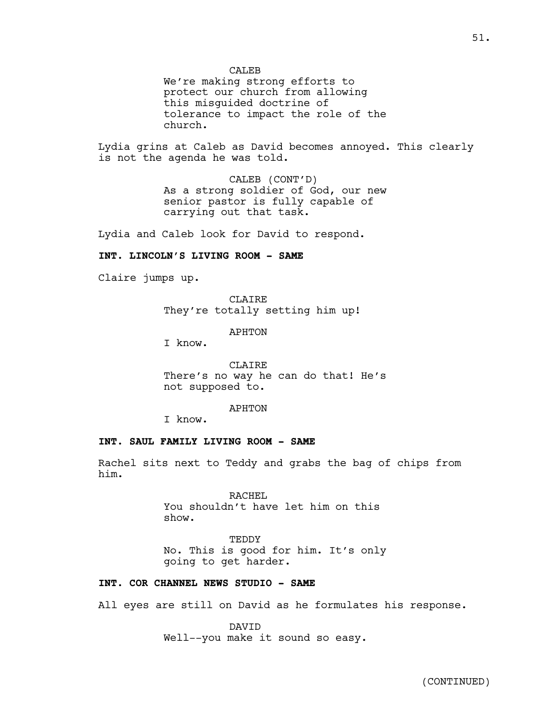**CALEB** 

We're making strong efforts to protect our church from allowing this misguided doctrine of tolerance to impact the role of the church.

Lydia grins at Caleb as David becomes annoyed. This clearly is not the agenda he was told.

> CALEB (CONT'D) As a strong soldier of God, our new senior pastor is fully capable of carrying out that task.

Lydia and Caleb look for David to respond.

## **INT. LINCOLN'S LIVING ROOM - SAME**

Claire jumps up.

CLAIRE They're totally setting him up!

APHTON

I know.

CLAIRE There's no way he can do that! He's not supposed to.

#### APHTON

I know.

## **INT. SAUL FAMILY LIVING ROOM - SAME**

Rachel sits next to Teddy and grabs the bag of chips from him.

> RACHEL You shouldn't have let him on this show.

TEDDY No. This is good for him. It's only going to get harder.

## **INT. COR CHANNEL NEWS STUDIO - SAME**

All eyes are still on David as he formulates his response.

DAVID Well--you make it sound so easy.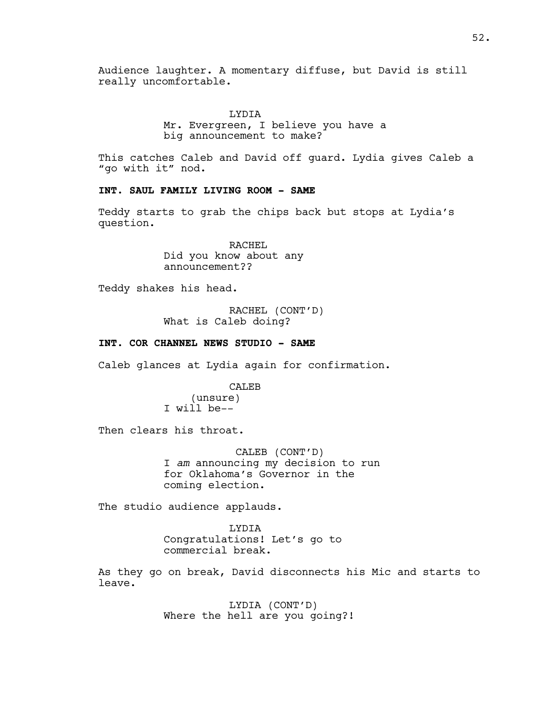Audience laughter. A momentary diffuse, but David is still really uncomfortable.

> LYDIA Mr. Evergreen, I believe you have a big announcement to make?

This catches Caleb and David off guard. Lydia gives Caleb a "go with it" nod.

## **INT. SAUL FAMILY LIVING ROOM - SAME**

Teddy starts to grab the chips back but stops at Lydia's question.

> RACHEL Did you know about any announcement??

Teddy shakes his head.

RACHEL (CONT'D) What is Caleb doing?

**INT. COR CHANNEL NEWS STUDIO - SAME**

Caleb glances at Lydia again for confirmation.

CALEB (unsure) I will be--

Then clears his throat.

 CALEB (CONT'D) I *am* announcing my decision to run for Oklahoma's Governor in the coming election.

The studio audience applauds.

LYDIA Congratulations! Let's go to commercial break.

As they go on break, David disconnects his Mic and starts to leave.

> LYDIA (CONT'D) Where the hell are you going?!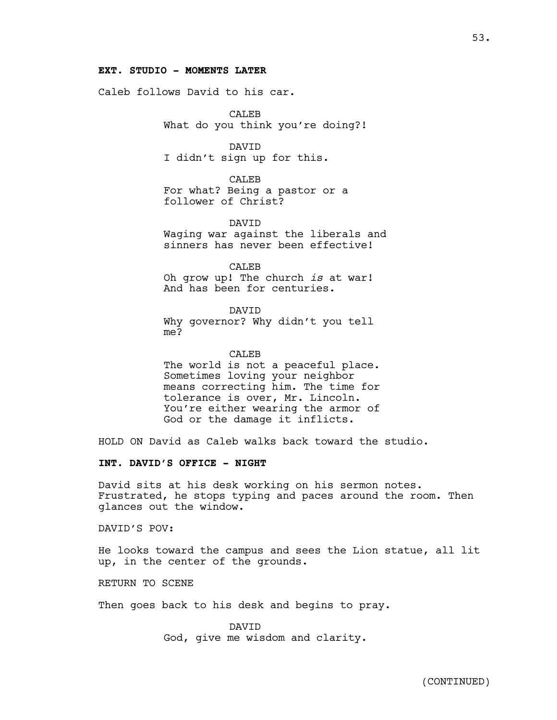## **EXT. STUDIO - MOMENTS LATER**

Caleb follows David to his car.

CALEB What do you think you're doing?!

DAVID I didn't sign up for this.

CALEB For what? Being a pastor or a follower of Christ?

DAVID Waging war against the liberals and sinners has never been effective!

CALEB Oh grow up! The church *is* at war! And has been for centuries.

DAVID Why governor? Why didn't you tell me?

CALEB The world is not a peaceful place. Sometimes loving your neighbor means correcting him. The time for tolerance is over, Mr. Lincoln. You're either wearing the armor of God or the damage it inflicts.

HOLD ON David as Caleb walks back toward the studio.

## **INT. DAVID'S OFFICE - NIGHT**

David sits at his desk working on his sermon notes. Frustrated, he stops typing and paces around the room. Then glances out the window.

DAVID'S POV:

He looks toward the campus and sees the Lion statue, all lit up, in the center of the grounds.

RETURN TO SCENE

Then goes back to his desk and begins to pray.

DAVID God, give me wisdom and clarity.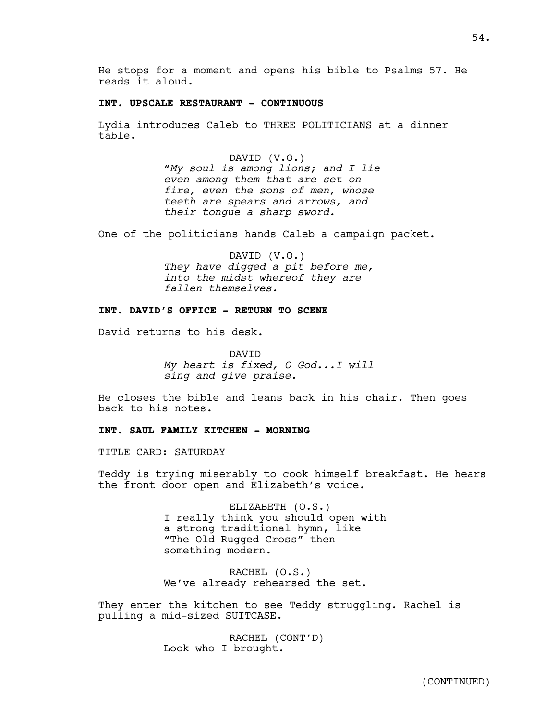He stops for a moment and opens his bible to Psalms 57. He reads it aloud.

## **INT. UPSCALE RESTAURANT - CONTINUOUS**

Lydia introduces Caleb to THREE POLITICIANS at a dinner table.

> DAVID (V.O.) *"My soul is among lions; and I lie even among them that are set on fire, even the sons of men, whose teeth are spears and arrows, and their tongue a sharp sword.*

One of the politicians hands Caleb a campaign packet.

DAVID (V.O.) *They have digged a pit before me, into the midst whereof they are fallen themselves.*

## **INT. DAVID'S OFFICE - RETURN TO SCENE**

David returns to his desk.

DAVID *My heart is fixed, O God...I will sing and give praise.*

He closes the bible and leans back in his chair. Then goes back to his notes.

## **INT. SAUL FAMILY KITCHEN - MORNING**

TITLE CARD: SATURDAY

Teddy is trying miserably to cook himself breakfast. He hears the front door open and Elizabeth's voice.

> ELIZABETH (O.S.) I really think you should open with a strong traditional hymn, like "The Old Rugged Cross" then something modern.

RACHEL (O.S.) We've already rehearsed the set.

They enter the kitchen to see Teddy struggling. Rachel is pulling a mid-sized SUITCASE.

> RACHEL (CONT'D) Look who I brought.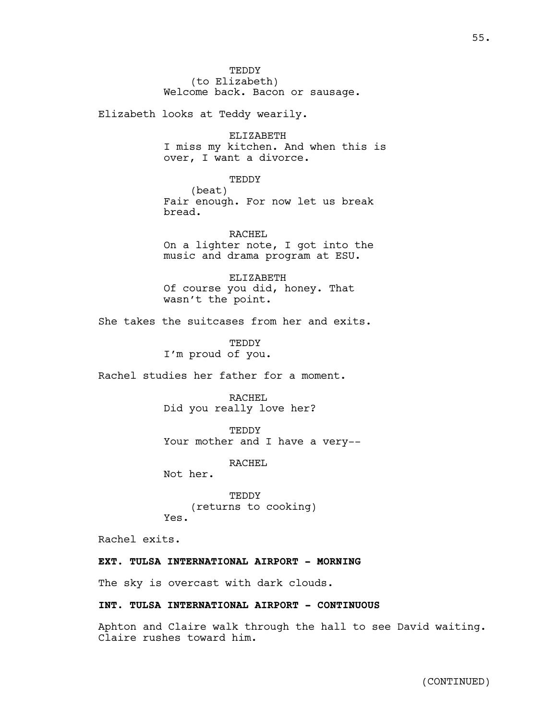**TEDDY** (to Elizabeth) Welcome back. Bacon or sausage.

Elizabeth looks at Teddy wearily.

ELIZABETH I miss my kitchen. And when this is over, I want a divorce.

#### TEDDY

(beat) Fair enough. For now let us break bread.

RACHEL On a lighter note, I got into the music and drama program at ESU.

ELIZABETH Of course you did, honey. That wasn't the point.

She takes the suitcases from her and exits.

TEDDY I'm proud of you.

Rachel studies her father for a moment.

RACHEL Did you really love her?

TEDDY Your mother and I have a very--

RACHEL

Not her.

TEDDY (returns to cooking) Yes.

Rachel exits.

## **EXT. TULSA INTERNATIONAL AIRPORT - MORNING**

The sky is overcast with dark clouds.

## **INT. TULSA INTERNATIONAL AIRPORT - CONTINUOUS**

Aphton and Claire walk through the hall to see David waiting. Claire rushes toward him.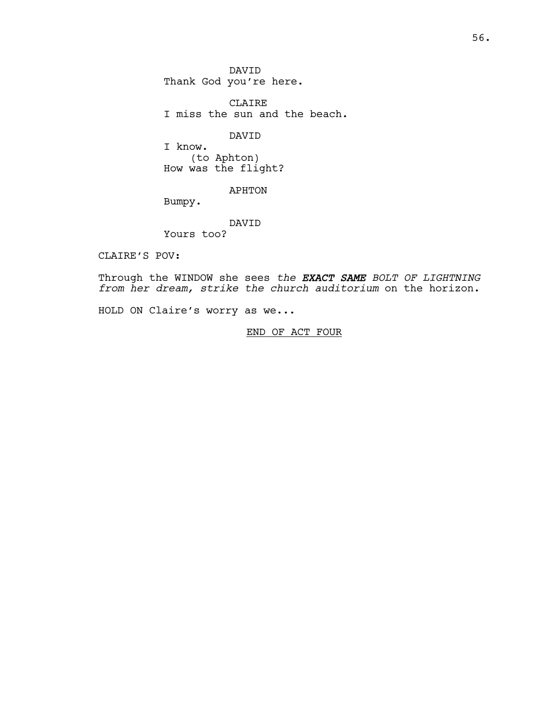DAVID Thank God you're here.

CLAIRE I miss the sun and the beach.

DAVID

I know. (to Aphton) How was the flight?

APHTON

Bumpy.

DAVID

Yours too?

CLAIRE'S POV:

Through the WINDOW she sees *the EXACT SAME BOLT OF LIGHTNING from her dream, strike the church auditorium* on the horizon.

HOLD ON Claire's worry as we...

END OF ACT FOUR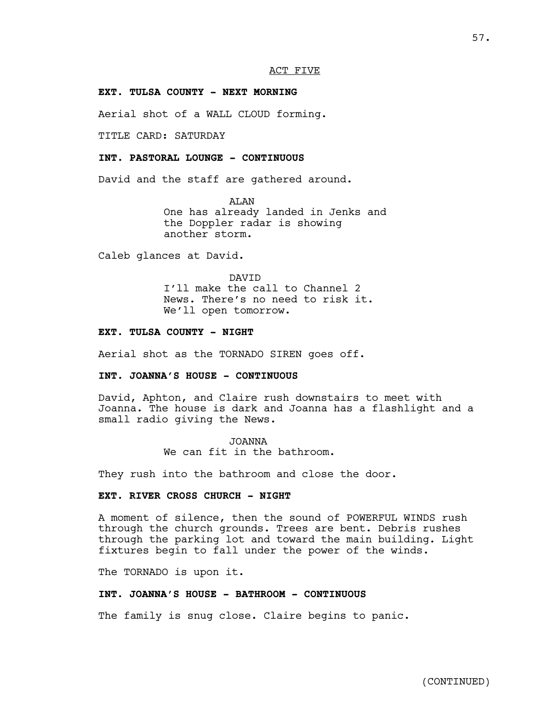## ACT FIVE

## **EXT. TULSA COUNTY - NEXT MORNING**

Aerial shot of a WALL CLOUD forming.

TITLE CARD: SATURDAY

## **INT. PASTORAL LOUNGE - CONTINUOUS**

David and the staff are gathered around.

ALAN One has already landed in Jenks and the Doppler radar is showing another storm.

Caleb glances at David.

DAVID I'll make the call to Channel 2 News. There's no need to risk it. We'll open tomorrow.

## **EXT. TULSA COUNTY - NIGHT**

Aerial shot as the TORNADO SIREN goes off.

## **INT. JOANNA'S HOUSE - CONTINUOUS**

David, Aphton, and Claire rush downstairs to meet with Joanna. The house is dark and Joanna has a flashlight and a small radio giving the News.

> JOANNA We can fit in the bathroom.

They rush into the bathroom and close the door.

## **EXT. RIVER CROSS CHURCH - NIGHT**

A moment of silence, then the sound of POWERFUL WINDS rush through the church grounds. Trees are bent. Debris rushes through the parking lot and toward the main building. Light fixtures begin to fall under the power of the winds.

The TORNADO is upon it.

## **INT. JOANNA'S HOUSE - BATHROOM - CONTINUOUS**

The family is snug close. Claire begins to panic.

57.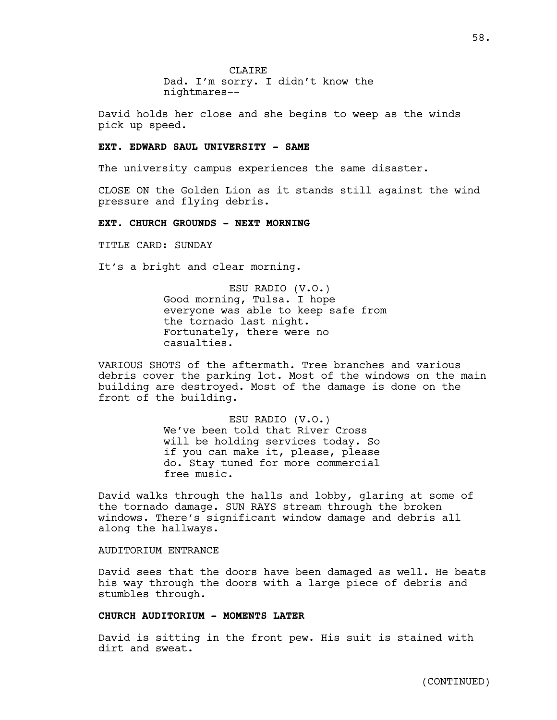**CLAIRE** Dad. I'm sorry. I didn't know the nightmares--

David holds her close and she begins to weep as the winds pick up speed.

#### **EXT. EDWARD SAUL UNIVERSITY - SAME**

The university campus experiences the same disaster.

CLOSE ON the Golden Lion as it stands still against the wind pressure and flying debris.

## **EXT. CHURCH GROUNDS - NEXT MORNING**

TITLE CARD: SUNDAY

It's a bright and clear morning.

ESU RADIO (V.O.) Good morning, Tulsa. I hope everyone was able to keep safe from the tornado last night. Fortunately, there were no casualties.

VARIOUS SHOTS of the aftermath. Tree branches and various debris cover the parking lot. Most of the windows on the main building are destroyed. Most of the damage is done on the front of the building.

> ESU RADIO (V.O.) We've been told that River Cross will be holding services today. So if you can make it, please, please do. Stay tuned for more commercial free music.

David walks through the halls and lobby, glaring at some of the tornado damage. SUN RAYS stream through the broken windows. There's significant window damage and debris all along the hallways.

AUDITORIUM ENTRANCE

David sees that the doors have been damaged as well. He beats his way through the doors with a large piece of debris and stumbles through.

## **CHURCH AUDITORIUM - MOMENTS LATER**

David is sitting in the front pew. His suit is stained with dirt and sweat.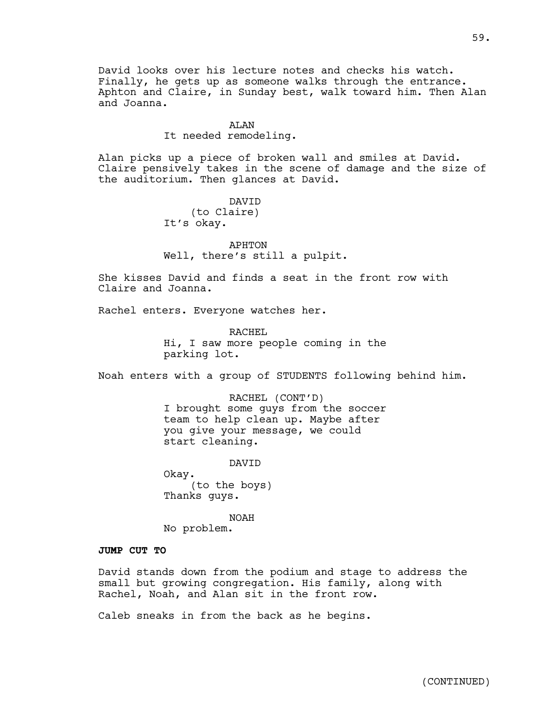David looks over his lecture notes and checks his watch. Finally, he gets up as someone walks through the entrance. Aphton and Claire, in Sunday best, walk toward him. Then Alan and Joanna.

## ALAN

It needed remodeling.

Alan picks up a piece of broken wall and smiles at David. Claire pensively takes in the scene of damage and the size of the auditorium. Then glances at David.

> DAVID (to Claire) It's okay.

APHTON Well, there's still a pulpit.

She kisses David and finds a seat in the front row with Claire and Joanna.

Rachel enters. Everyone watches her.

RACHEL Hi, I saw more people coming in the parking lot.

Noah enters with a group of STUDENTS following behind him.

RACHEL (CONT'D) I brought some guys from the soccer team to help clean up. Maybe after you give your message, we could start cleaning.

DAVID

Okay. (to the boys) Thanks guys.

NOAH No problem.

## **JUMP CUT TO**

David stands down from the podium and stage to address the small but growing congregation. His family, along with Rachel, Noah, and Alan sit in the front row.

Caleb sneaks in from the back as he begins.